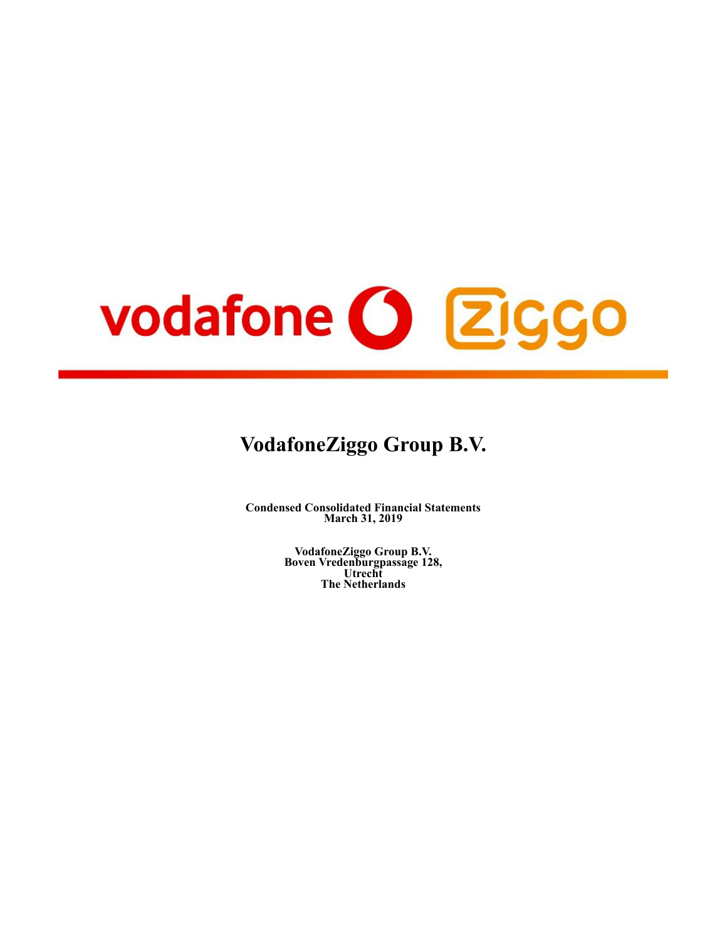# vodafone (3 Ziggo

# **VodafoneZiggo Group B.V.**

**Condensed Consolidated Financial Statements March 31, 2019** 

> **VodafoneZiggo Group B.V. Boven Vredenburgpassage 128, Utrecht The Netherlands**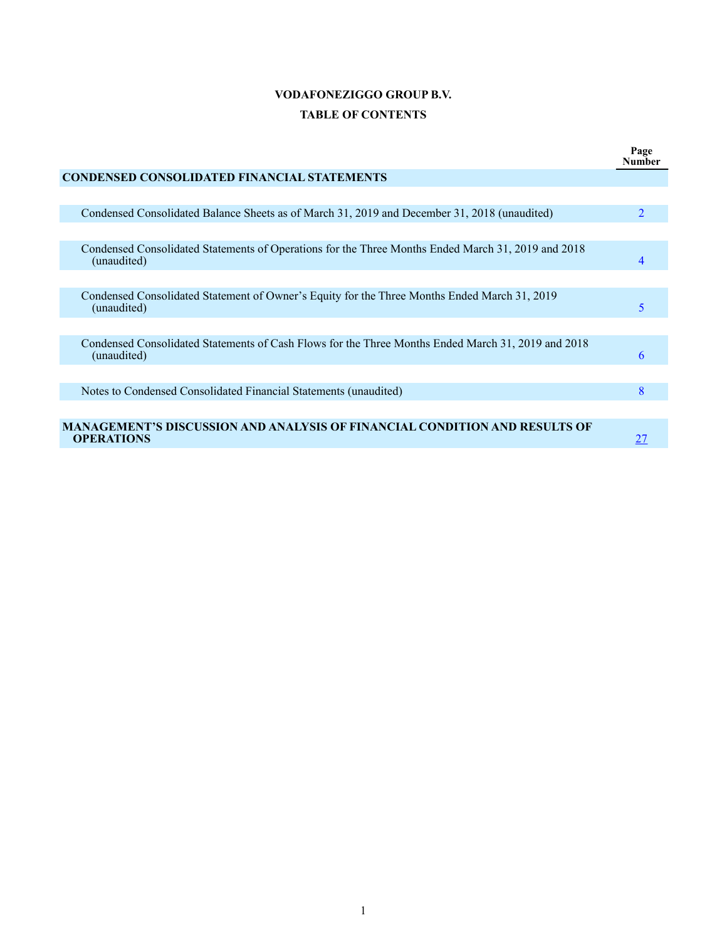# **VODAFONEZIGGO GROUP B.V. TABLE OF CONTENTS**

|                                                                                                                   | Page<br>Number |
|-------------------------------------------------------------------------------------------------------------------|----------------|
| <b>CONDENSED CONSOLIDATED FINANCIAL STATEMENTS</b>                                                                |                |
|                                                                                                                   |                |
| Condensed Consolidated Balance Sheets as of March 31, 2019 and December 31, 2018 (unaudited)                      | 2              |
|                                                                                                                   |                |
| Condensed Consolidated Statements of Operations for the Three Months Ended March 31, 2019 and 2018<br>(unaudited) | 4              |
|                                                                                                                   |                |
| Condensed Consolidated Statement of Owner's Equity for the Three Months Ended March 31, 2019<br>(unaudited)       | 5              |
|                                                                                                                   |                |
| Condensed Consolidated Statements of Cash Flows for the Three Months Ended March 31, 2019 and 2018<br>(unaudited) | 6              |
|                                                                                                                   |                |
| Notes to Condensed Consolidated Financial Statements (unaudited)                                                  | 8              |
|                                                                                                                   |                |
| <b>MANAGEMENT'S DISCUSSION AND ANALYSIS OF FINANCIAL CONDITION AND RESULTS OF</b><br><b>OPERATIONS</b>            | 27             |
|                                                                                                                   |                |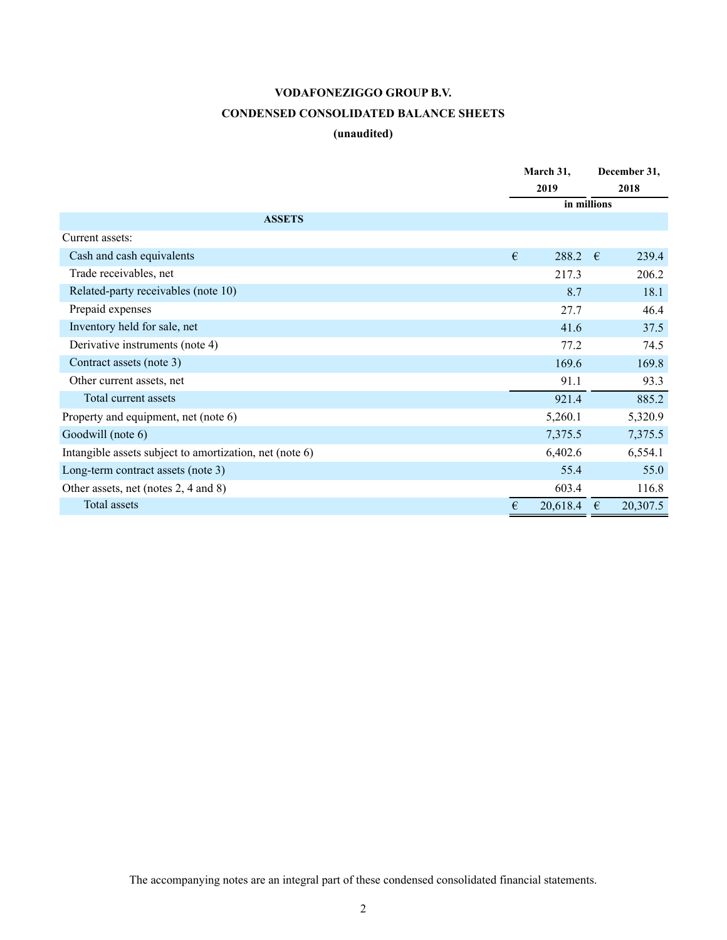# **CONDENSED CONSOLIDATED BALANCE SHEETS**

# **(unaudited)**

|                                                         |   | March 31,   |            | December 31, |
|---------------------------------------------------------|---|-------------|------------|--------------|
|                                                         |   | 2019        |            | 2018         |
|                                                         |   | in millions |            |              |
| <b>ASSETS</b>                                           |   |             |            |              |
| Current assets:                                         |   |             |            |              |
| Cash and cash equivalents                               | € | 288.2       | $\epsilon$ | 239.4        |
| Trade receivables, net                                  |   | 217.3       |            | 206.2        |
| Related-party receivables (note 10)                     |   | 8.7         |            | 18.1         |
| Prepaid expenses                                        |   | 27.7        |            | 46.4         |
| Inventory held for sale, net                            |   | 41.6        |            | 37.5         |
| Derivative instruments (note 4)                         |   | 77.2        |            | 74.5         |
| Contract assets (note 3)                                |   | 169.6       |            | 169.8        |
| Other current assets, net                               |   | 91.1        |            | 93.3         |
| Total current assets                                    |   | 921.4       |            | 885.2        |
| Property and equipment, net (note 6)                    |   | 5,260.1     |            | 5,320.9      |
| Goodwill (note 6)                                       |   | 7,375.5     |            | 7,375.5      |
| Intangible assets subject to amortization, net (note 6) |   | 6,402.6     |            | 6,554.1      |
| Long-term contract assets (note 3)                      |   | 55.4        |            | 55.0         |
| Other assets, net (notes 2, 4 and 8)                    |   | 603.4       |            | 116.8        |
| Total assets                                            | € | 20,618.4    | €          | 20,307.5     |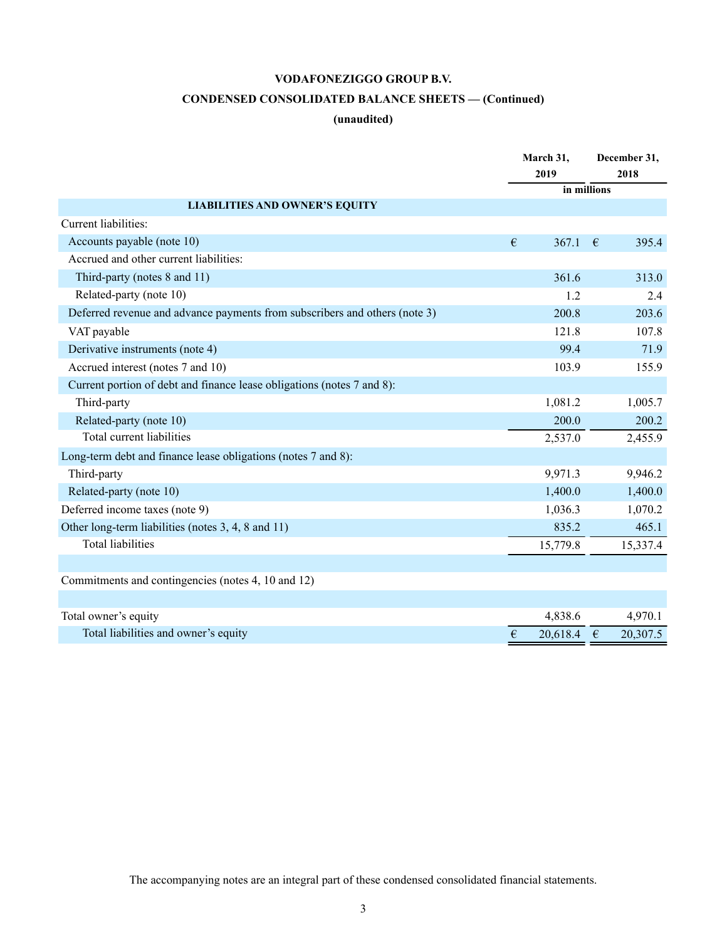# **CONDENSED CONSOLIDATED BALANCE SHEETS — (Continued)**

# **(unaudited)**

|                                                                            |   | March 31,      |             | December 31, |  |
|----------------------------------------------------------------------------|---|----------------|-------------|--------------|--|
|                                                                            |   | 2019           | 2018        |              |  |
|                                                                            |   |                | in millions |              |  |
| <b>LIABILITIES AND OWNER'S EQUITY</b>                                      |   |                |             |              |  |
| Current liabilities:                                                       |   |                |             |              |  |
| Accounts payable (note 10)                                                 | € | 367.1          | $\epsilon$  | 395.4        |  |
| Accrued and other current liabilities:                                     |   |                |             |              |  |
| Third-party (notes 8 and 11)                                               |   | 361.6          |             | 313.0        |  |
| Related-party (note 10)                                                    |   | 1.2            |             | 2.4          |  |
| Deferred revenue and advance payments from subscribers and others (note 3) |   | 200.8          |             | 203.6        |  |
| VAT payable                                                                |   | 121.8          |             | 107.8        |  |
| Derivative instruments (note 4)                                            |   | 99.4           |             | 71.9         |  |
| Accrued interest (notes 7 and 10)                                          |   | 103.9          |             | 155.9        |  |
| Current portion of debt and finance lease obligations (notes 7 and 8):     |   |                |             |              |  |
| Third-party                                                                |   | 1,081.2        |             | 1,005.7      |  |
| Related-party (note 10)                                                    |   | 200.0          |             | 200.2        |  |
| Total current liabilities                                                  |   | 2,537.0        |             | 2,455.9      |  |
| Long-term debt and finance lease obligations (notes 7 and 8):              |   |                |             |              |  |
| Third-party                                                                |   | 9,971.3        |             | 9,946.2      |  |
| Related-party (note 10)                                                    |   | 1,400.0        |             | 1,400.0      |  |
| Deferred income taxes (note 9)                                             |   | 1,036.3        |             | 1,070.2      |  |
| Other long-term liabilities (notes 3, 4, 8 and 11)                         |   | 835.2          |             | 465.1        |  |
| <b>Total liabilities</b>                                                   |   | 15,779.8       |             | 15,337.4     |  |
|                                                                            |   |                |             |              |  |
| Commitments and contingencies (notes 4, 10 and 12)                         |   |                |             |              |  |
|                                                                            |   |                |             |              |  |
| Total owner's equity                                                       |   | 4,838.6        |             | 4,970.1      |  |
| Total liabilities and owner's equity                                       | € | 20,618.4 $\in$ |             | 20,307.5     |  |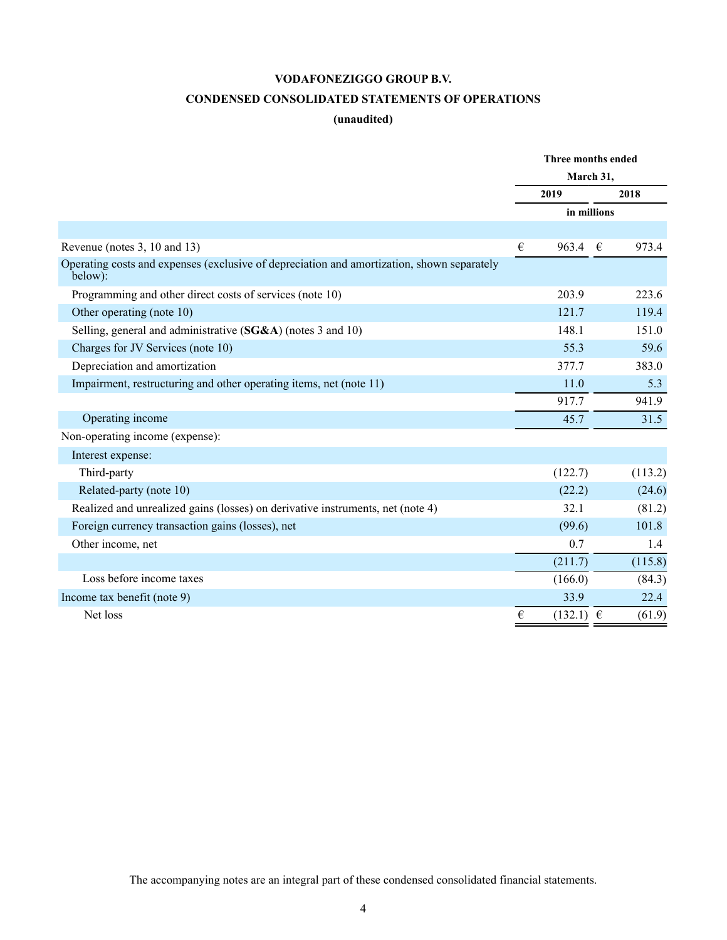# **CONDENSED CONSOLIDATED STATEMENTS OF OPERATIONS**

# **(unaudited)**

|                                                                                                       | Three months ended |               |  |         |
|-------------------------------------------------------------------------------------------------------|--------------------|---------------|--|---------|
|                                                                                                       | March 31,          |               |  |         |
|                                                                                                       | 2019               |               |  | 2018    |
|                                                                                                       | in millions        |               |  |         |
|                                                                                                       |                    |               |  |         |
| Revenue (notes 3, 10 and 13)                                                                          | €                  | 963.4 $\in$   |  | 973.4   |
| Operating costs and expenses (exclusive of depreciation and amortization, shown separately<br>below): |                    |               |  |         |
| Programming and other direct costs of services (note 10)                                              |                    | 203.9         |  | 223.6   |
| Other operating (note 10)                                                                             |                    | 121.7         |  | 119.4   |
| Selling, general and administrative $(SG\&A)$ (notes 3 and 10)                                        |                    | 148.1         |  | 151.0   |
| Charges for JV Services (note 10)                                                                     |                    | 55.3          |  | 59.6    |
| Depreciation and amortization                                                                         |                    | 377.7         |  | 383.0   |
| Impairment, restructuring and other operating items, net (note 11)                                    |                    | 11.0          |  | 5.3     |
|                                                                                                       |                    | 917.7         |  | 941.9   |
| Operating income                                                                                      |                    | 45.7          |  | 31.5    |
| Non-operating income (expense):                                                                       |                    |               |  |         |
| Interest expense:                                                                                     |                    |               |  |         |
| Third-party                                                                                           |                    | (122.7)       |  | (113.2) |
| Related-party (note 10)                                                                               |                    | (22.2)        |  | (24.6)  |
| Realized and unrealized gains (losses) on derivative instruments, net (note 4)                        |                    | 32.1          |  | (81.2)  |
| Foreign currency transaction gains (losses), net                                                      |                    | (99.6)        |  | 101.8   |
| Other income, net                                                                                     |                    | 0.7           |  | 1.4     |
|                                                                                                       |                    | (211.7)       |  | (115.8) |
| Loss before income taxes                                                                              |                    | (166.0)       |  | (84.3)  |
| Income tax benefit (note 9)                                                                           |                    | 33.9          |  | 22.4    |
| Net loss                                                                                              | $\epsilon$         | $(132.1) \t∈$ |  | (61.9)  |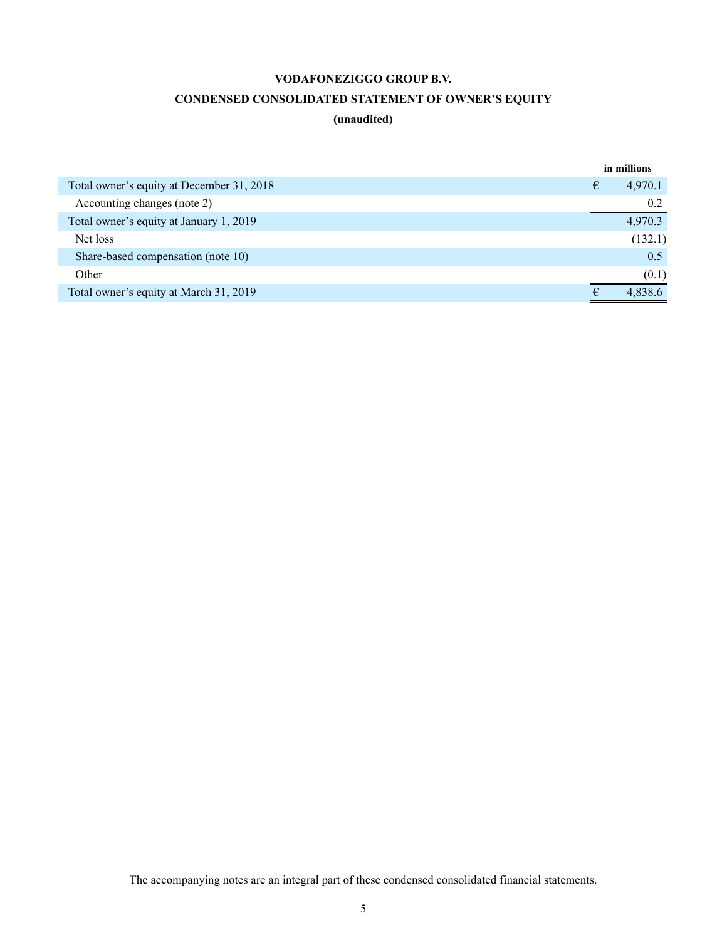# **CONDENSED CONSOLIDATED STATEMENT OF OWNER'S EQUITY**

# **(unaudited)**

|                                           |   | in millions |
|-------------------------------------------|---|-------------|
| Total owner's equity at December 31, 2018 | € | 4,970.1     |
| Accounting changes (note 2)               |   | 0.2         |
| Total owner's equity at January 1, 2019   |   | 4,970.3     |
| Net loss                                  |   | (132.1)     |
| Share-based compensation (note 10)        |   | 0.5         |
| Other                                     |   | (0.1)       |
| Total owner's equity at March 31, 2019    | € | 4,838.6     |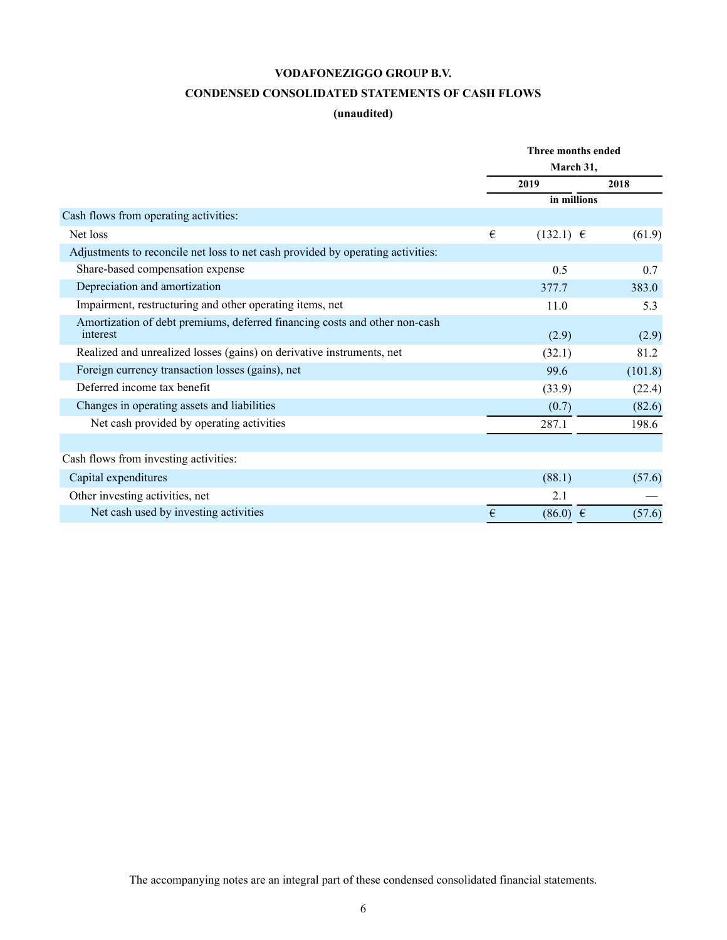# **CONDENSED CONSOLIDATED STATEMENTS OF CASH FLOWS**

# **(unaudited)**

|                                                                                        | Three months ended |               |         |  |
|----------------------------------------------------------------------------------------|--------------------|---------------|---------|--|
|                                                                                        |                    |               |         |  |
|                                                                                        |                    | 2018          |         |  |
|                                                                                        |                    | in millions   |         |  |
| Cash flows from operating activities:                                                  |                    |               |         |  |
| Net loss                                                                               | €                  | $(132.1) \in$ | (61.9)  |  |
| Adjustments to reconcile net loss to net cash provided by operating activities:        |                    |               |         |  |
| Share-based compensation expense                                                       |                    | 0.5           | 0.7     |  |
| Depreciation and amortization                                                          |                    | 377.7         | 383.0   |  |
| Impairment, restructuring and other operating items, net                               |                    | 11.0          | 5.3     |  |
| Amortization of debt premiums, deferred financing costs and other non-cash<br>interest |                    | (2.9)         | (2.9)   |  |
| Realized and unrealized losses (gains) on derivative instruments, net                  |                    | (32.1)        | 81.2    |  |
| Foreign currency transaction losses (gains), net                                       |                    | 99.6          | (101.8) |  |
| Deferred income tax benefit                                                            |                    | (33.9)        | (22.4)  |  |
| Changes in operating assets and liabilities                                            |                    | (0.7)         | (82.6)  |  |
| Net cash provided by operating activities                                              |                    | 287.1         | 198.6   |  |
|                                                                                        |                    |               |         |  |
| Cash flows from investing activities:                                                  |                    |               |         |  |
| Capital expenditures                                                                   |                    | (88.1)        | (57.6)  |  |
| Other investing activities, net                                                        |                    | 2.1           |         |  |
| Net cash used by investing activities                                                  | €                  | $(86.0) \in$  | (57.6)  |  |
|                                                                                        |                    |               |         |  |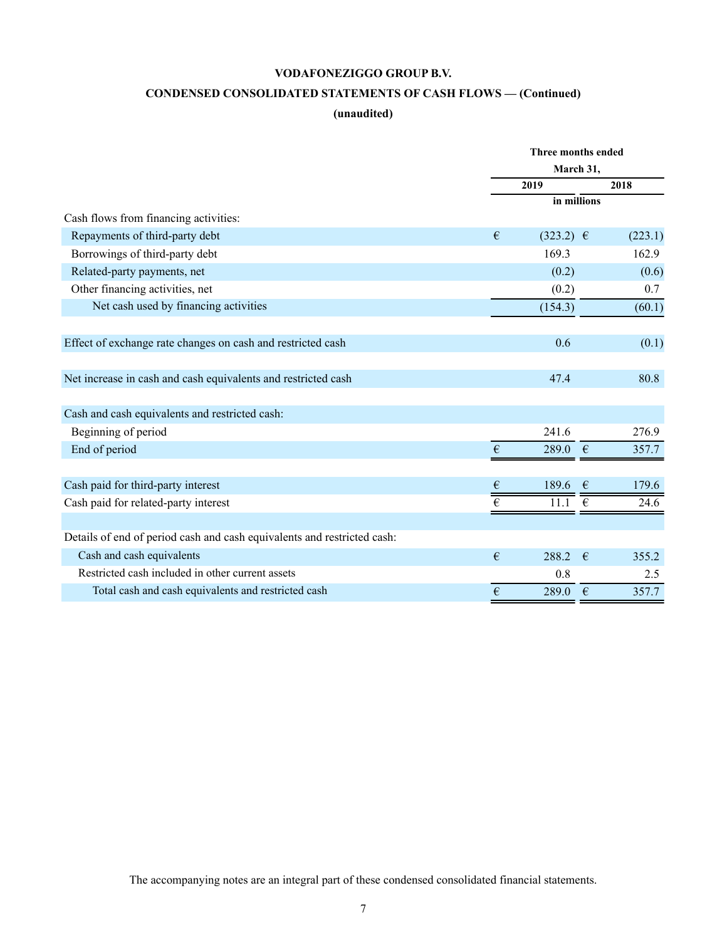# **CONDENSED CONSOLIDATED STATEMENTS OF CASH FLOWS — (Continued)**

# **(unaudited)**

|                                                                         | Three months ended |               |            |         |  |
|-------------------------------------------------------------------------|--------------------|---------------|------------|---------|--|
|                                                                         | March 31,          |               |            |         |  |
|                                                                         |                    |               | 2018       |         |  |
|                                                                         |                    | in millions   |            |         |  |
| Cash flows from financing activities:                                   |                    |               |            |         |  |
| Repayments of third-party debt                                          | $\epsilon$         | $(323.2) \in$ |            | (223.1) |  |
| Borrowings of third-party debt                                          |                    | 169.3         |            | 162.9   |  |
| Related-party payments, net                                             |                    | (0.2)         |            | (0.6)   |  |
| Other financing activities, net                                         |                    | (0.2)         |            | 0.7     |  |
| Net cash used by financing activities                                   |                    | (154.3)       |            | (60.1)  |  |
|                                                                         |                    |               |            |         |  |
| Effect of exchange rate changes on cash and restricted cash             |                    | 0.6           |            | (0.1)   |  |
|                                                                         |                    |               |            |         |  |
| Net increase in cash and cash equivalents and restricted cash           |                    | 47.4          |            | 80.8    |  |
|                                                                         |                    |               |            |         |  |
| Cash and cash equivalents and restricted cash:                          |                    |               |            |         |  |
| Beginning of period                                                     |                    | 241.6         |            | 276.9   |  |
| End of period                                                           | $\epsilon$         | 289.0         | $\epsilon$ | 357.7   |  |
|                                                                         |                    |               |            |         |  |
| Cash paid for third-party interest                                      | €                  | 189.6         | €          | 179.6   |  |
| Cash paid for related-party interest                                    | $\epsilon$         | 11.1          | €          | 24.6    |  |
|                                                                         |                    |               |            |         |  |
| Details of end of period cash and cash equivalents and restricted cash: |                    |               |            |         |  |
| Cash and cash equivalents                                               | €                  | 288.2         | €          | 355.2   |  |
| Restricted cash included in other current assets                        |                    | 0.8           |            | 2.5     |  |
| Total cash and cash equivalents and restricted cash                     | €                  | 289.0         | €          | 357.7   |  |
|                                                                         |                    |               |            |         |  |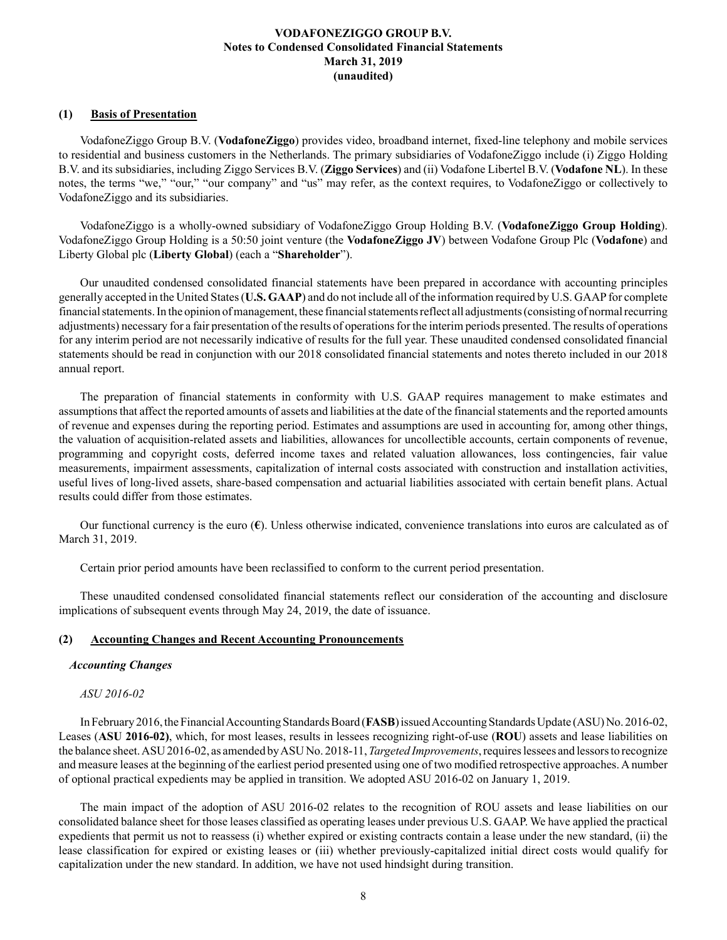# **(1) Basis of Presentation**

VodafoneZiggo Group B.V. (**VodafoneZiggo**) provides video, broadband internet, fixed-line telephony and mobile services to residential and business customers in the Netherlands. The primary subsidiaries of VodafoneZiggo include (i) Ziggo Holding B.V. and its subsidiaries, including Ziggo Services B.V. (**Ziggo Services**) and (ii) Vodafone Libertel B.V. (**Vodafone NL**). In these notes, the terms "we," "our," "our company" and "us" may refer, as the context requires, to VodafoneZiggo or collectively to VodafoneZiggo and its subsidiaries.

VodafoneZiggo is a wholly-owned subsidiary of VodafoneZiggo Group Holding B.V. (**VodafoneZiggo Group Holding**). VodafoneZiggo Group Holding is a 50:50 joint venture (the **VodafoneZiggo JV**) between Vodafone Group Plc (**Vodafone**) and Liberty Global plc (**Liberty Global**) (each a "**Shareholder**").

Our unaudited condensed consolidated financial statements have been prepared in accordance with accounting principles generally accepted in the United States (**U.S. GAAP**) and do not include all of the information required by U.S. GAAP for complete financial statements. In the opinion of management, these financial statements reflect all adjustments (consisting of normal recurring adjustments) necessary for a fair presentation of the results of operations for the interim periods presented. The results of operations for any interim period are not necessarily indicative of results for the full year. These unaudited condensed consolidated financial statements should be read in conjunction with our 2018 consolidated financial statements and notes thereto included in our 2018 annual report.

The preparation of financial statements in conformity with U.S. GAAP requires management to make estimates and assumptions that affect the reported amounts of assets and liabilities at the date of the financial statements and the reported amounts of revenue and expenses during the reporting period. Estimates and assumptions are used in accounting for, among other things, the valuation of acquisition-related assets and liabilities, allowances for uncollectible accounts, certain components of revenue, programming and copyright costs, deferred income taxes and related valuation allowances, loss contingencies, fair value measurements, impairment assessments, capitalization of internal costs associated with construction and installation activities, useful lives of long-lived assets, share-based compensation and actuarial liabilities associated with certain benefit plans. Actual results could differ from those estimates.

Our functional currency is the euro (**€**). Unless otherwise indicated, convenience translations into euros are calculated as of March 31, 2019.

Certain prior period amounts have been reclassified to conform to the current period presentation.

These unaudited condensed consolidated financial statements reflect our consideration of the accounting and disclosure implications of subsequent events through May 24, 2019, the date of issuance.

### **(2) Accounting Changes and Recent Accounting Pronouncements**

### *Accounting Changes*

### *ASU 2016-02*

In February 2016, the Financial Accounting Standards Board (**FASB**) issued Accounting Standards Update (ASU) No. 2016-02, Leases (**ASU 2016-02)**, which, for most leases, results in lessees recognizing right-of-use (**ROU**) assets and lease liabilities on the balance sheet. ASU 2016-02, as amended by ASU No. 2018-11, *Targeted Improvements*, requires lessees and lessors to recognize and measure leases at the beginning of the earliest period presented using one of two modified retrospective approaches. A number of optional practical expedients may be applied in transition. We adopted ASU 2016-02 on January 1, 2019.

The main impact of the adoption of ASU 2016-02 relates to the recognition of ROU assets and lease liabilities on our consolidated balance sheet for those leases classified as operating leases under previous U.S. GAAP. We have applied the practical expedients that permit us not to reassess (i) whether expired or existing contracts contain a lease under the new standard, (ii) the lease classification for expired or existing leases or (iii) whether previously-capitalized initial direct costs would qualify for capitalization under the new standard. In addition, we have not used hindsight during transition.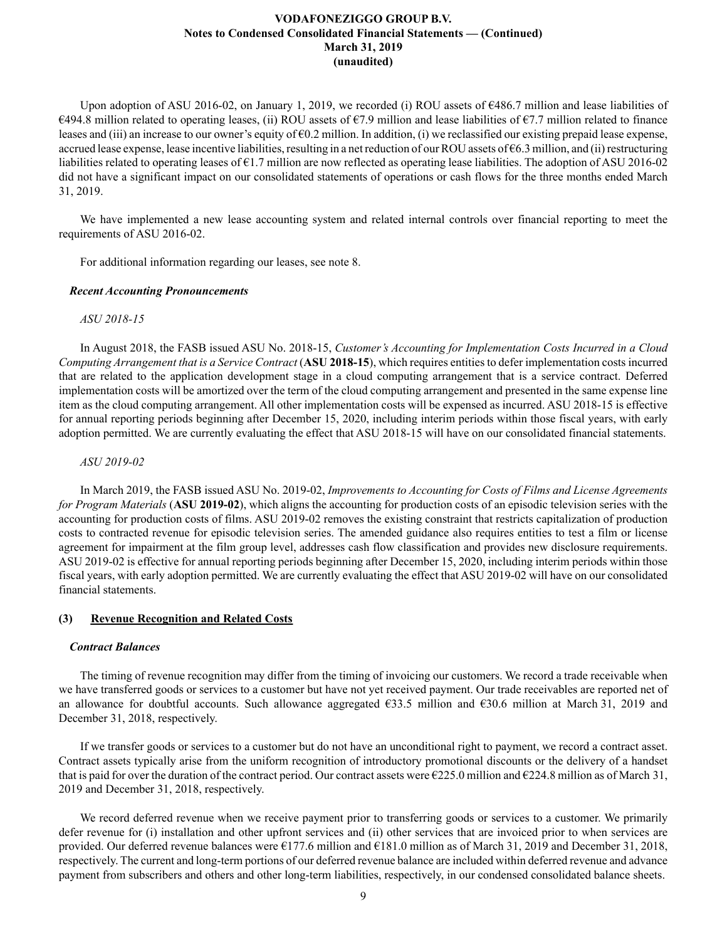Upon adoption of ASU 2016-02, on January 1, 2019, we recorded (i) ROU assets of  $\epsilon$ 486.7 million and lease liabilities of €494.8 million related to operating leases, (ii) ROU assets of €7.9 million and lease liabilities of €7.7 million related to finance leases and (iii) an increase to our owner's equity of  $\epsilon 0.2$  million. In addition, (i) we reclassified our existing prepaid lease expense, accrued lease expense, lease incentive liabilities, resulting in a net reduction of our ROU assets of €6.3 million, and (ii) restructuring liabilities related to operating leases of €1.7 million are now reflected as operating lease liabilities. The adoption of ASU 2016-02 did not have a significant impact on our consolidated statements of operations or cash flows for the three months ended March 31, 2019.

We have implemented a new lease accounting system and related internal controls over financial reporting to meet the requirements of ASU 2016-02.

For additional information regarding our leases, see note 8.

### *Recent Accounting Pronouncements*

*ASU 2018-15* 

In August 2018, the FASB issued ASU No. 2018-15, *Customer's Accounting for Implementation Costs Incurred in a Cloud Computing Arrangement that is a Service Contract* (**ASU 2018-15**), which requires entities to defer implementation costs incurred that are related to the application development stage in a cloud computing arrangement that is a service contract. Deferred implementation costs will be amortized over the term of the cloud computing arrangement and presented in the same expense line item as the cloud computing arrangement. All other implementation costs will be expensed as incurred. ASU 2018-15 is effective for annual reporting periods beginning after December 15, 2020, including interim periods within those fiscal years, with early adoption permitted. We are currently evaluating the effect that ASU 2018-15 will have on our consolidated financial statements.

*ASU 2019-02*

In March 2019, the FASB issued ASU No. 2019-02, *Improvements to Accounting for Costs of Films and License Agreements for Program Materials* (**ASU 2019-02**), which aligns the accounting for production costs of an episodic television series with the accounting for production costs of films. ASU 2019-02 removes the existing constraint that restricts capitalization of production costs to contracted revenue for episodic television series. The amended guidance also requires entities to test a film or license agreement for impairment at the film group level, addresses cash flow classification and provides new disclosure requirements. ASU 2019-02 is effective for annual reporting periods beginning after December 15, 2020, including interim periods within those fiscal years, with early adoption permitted. We are currently evaluating the effect that ASU 2019-02 will have on our consolidated financial statements.

### **(3) Revenue Recognition and Related Costs**

### *Contract Balances*

The timing of revenue recognition may differ from the timing of invoicing our customers. We record a trade receivable when we have transferred goods or services to a customer but have not yet received payment. Our trade receivables are reported net of an allowance for doubtful accounts. Such allowance aggregated  $\epsilon$ 33.5 million and  $\epsilon$ 30.6 million at March 31, 2019 and December 31, 2018, respectively.

If we transfer goods or services to a customer but do not have an unconditional right to payment, we record a contract asset. Contract assets typically arise from the uniform recognition of introductory promotional discounts or the delivery of a handset that is paid for over the duration of the contract period. Our contract assets were  $\epsilon$ 225.0 million and  $\epsilon$ 224.8 million as of March 31, 2019 and December 31, 2018, respectively.

We record deferred revenue when we receive payment prior to transferring goods or services to a customer. We primarily defer revenue for (i) installation and other upfront services and (ii) other services that are invoiced prior to when services are provided. Our deferred revenue balances were €177.6 million and €181.0 million as of March 31, 2019 and December 31, 2018, respectively. The current and long-term portions of our deferred revenue balance are included within deferred revenue and advance payment from subscribers and others and other long-term liabilities, respectively, in our condensed consolidated balance sheets.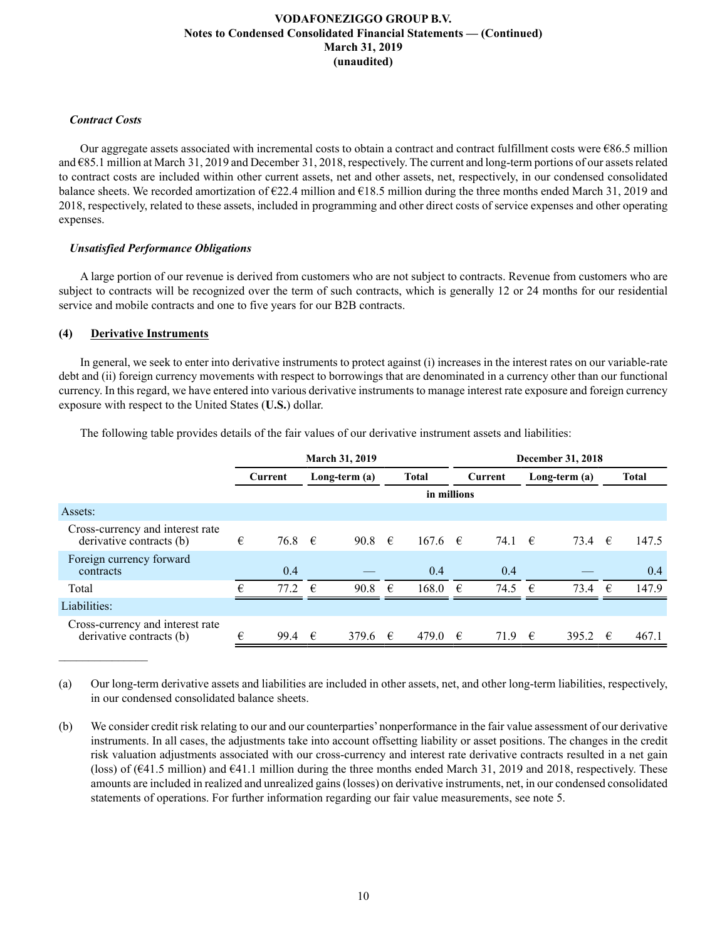### *Contract Costs*

Our aggregate assets associated with incremental costs to obtain a contract and contract fulfillment costs were €86.5 million and €85.1 million at March 31, 2019 and December 31, 2018, respectively. The current and long-term portions of our assets related to contract costs are included within other current assets, net and other assets, net, respectively, in our condensed consolidated balance sheets. We recorded amortization of  $\epsilon$ 22.4 million and  $\epsilon$ 18.5 million during the three months ended March 31, 2019 and 2018, respectively, related to these assets, included in programming and other direct costs of service expenses and other operating expenses.

# *Unsatisfied Performance Obligations*

A large portion of our revenue is derived from customers who are not subject to contracts. Revenue from customers who are subject to contracts will be recognized over the term of such contracts, which is generally 12 or 24 months for our residential service and mobile contracts and one to five years for our B2B contracts.

### **(4) Derivative Instruments**

 $\mathcal{L}$  , we have the set of  $\mathcal{L}$ 

In general, we seek to enter into derivative instruments to protect against (i) increases in the interest rates on our variable-rate debt and (ii) foreign currency movements with respect to borrowings that are denominated in a currency other than our functional currency. In this regard, we have entered into various derivative instruments to manage interest rate exposure and foreign currency exposure with respect to the United States (**U.S.**) dollar.

|                                                              | <b>March 31, 2019</b> |         |            |                  |            |              |                 | December 31, 2018 |               |            |              |
|--------------------------------------------------------------|-----------------------|---------|------------|------------------|------------|--------------|-----------------|-------------------|---------------|------------|--------------|
|                                                              |                       | Current |            | Long-term $(a)$  |            | <b>Total</b> | Current         |                   | Long-term (a) |            | <b>Total</b> |
|                                                              |                       |         |            |                  |            | in millions  |                 |                   |               |            |              |
| Assets:                                                      |                       |         |            |                  |            |              |                 |                   |               |            |              |
| Cross-currency and interest rate<br>derivative contracts (b) | €                     | 76.8 €  |            | 90.8 $\in$       |            | $167.6 \t∈$  | 74.1 $\epsilon$ |                   | 73.4          | $\epsilon$ | 147.5        |
| Foreign currency forward<br>contracts                        |                       | 0.4     |            |                  |            | 0.4          | 0.4             |                   |               |            | 0.4          |
| Total                                                        | €                     | 77.2    | €          | 90.8             | $\epsilon$ | $168.0 \in$  | 74.5 $\epsilon$ |                   | 73.4          | €          | 147.9        |
| Liabilities:                                                 |                       |         |            |                  |            |              |                 |                   |               |            |              |
| Cross-currency and interest rate<br>derivative contracts (b) | €                     | 99.4    | $\epsilon$ | 379.6 $\epsilon$ |            | $479.0 \in$  | 71.9            | $\epsilon$        | 395.2         | $\epsilon$ | 467.1        |

The following table provides details of the fair values of our derivative instrument assets and liabilities:

(a) Our long-term derivative assets and liabilities are included in other assets, net, and other long-term liabilities, respectively, in our condensed consolidated balance sheets.

(b) We consider credit risk relating to our and our counterparties' nonperformance in the fair value assessment of our derivative instruments. In all cases, the adjustments take into account offsetting liability or asset positions. The changes in the credit risk valuation adjustments associated with our cross-currency and interest rate derivative contracts resulted in a net gain (loss) of ( $641.5$  million) and  $641.1$  million during the three months ended March 31, 2019 and 2018, respectively. These amounts are included in realized and unrealized gains (losses) on derivative instruments, net, in our condensed consolidated statements of operations. For further information regarding our fair value measurements, see note 5.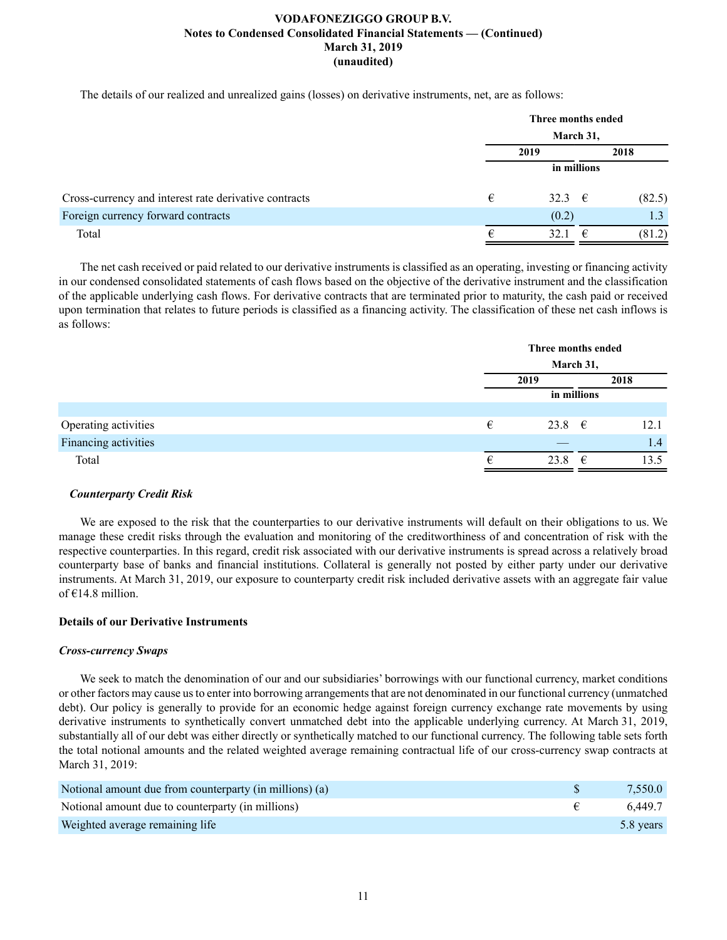The details of our realized and unrealized gains (losses) on derivative instruments, net, are as follows:

|                                                       |   | Three months ended<br>March 31, |             |        |  |  |  |
|-------------------------------------------------------|---|---------------------------------|-------------|--------|--|--|--|
|                                                       |   |                                 |             |        |  |  |  |
|                                                       |   | 2019                            | 2018        |        |  |  |  |
|                                                       |   |                                 | in millions |        |  |  |  |
| Cross-currency and interest rate derivative contracts | € | 32.3 $\epsilon$                 |             | (82.5) |  |  |  |
| Foreign currency forward contracts                    |   | (0.2)                           |             | 1.3    |  |  |  |
| Total                                                 | ₽ | 32.1                            | €           | (81.2) |  |  |  |

The net cash received or paid related to our derivative instruments is classified as an operating, investing or financing activity in our condensed consolidated statements of cash flows based on the objective of the derivative instrument and the classification of the applicable underlying cash flows. For derivative contracts that are terminated prior to maturity, the cash paid or received upon termination that relates to future periods is classified as a financing activity. The classification of these net cash inflows is as follows:

|                      |   | Three months ended |           |      |  |
|----------------------|---|--------------------|-----------|------|--|
|                      |   |                    | March 31, |      |  |
|                      |   | 2019               |           | 2018 |  |
|                      |   | in millions        |           |      |  |
|                      |   |                    |           |      |  |
| Operating activities | € | 23.8 $\in$         |           | 12.1 |  |
| Financing activities |   |                    |           | 1.4  |  |
| Total                |   | 23.8               | €         | 13.5 |  |

# *Counterparty Credit Risk*

We are exposed to the risk that the counterparties to our derivative instruments will default on their obligations to us. We manage these credit risks through the evaluation and monitoring of the creditworthiness of and concentration of risk with the respective counterparties. In this regard, credit risk associated with our derivative instruments is spread across a relatively broad counterparty base of banks and financial institutions. Collateral is generally not posted by either party under our derivative instruments. At March 31, 2019, our exposure to counterparty credit risk included derivative assets with an aggregate fair value of €14.8 million.

### **Details of our Derivative Instruments**

### *Cross-currency Swaps*

We seek to match the denomination of our and our subsidiaries' borrowings with our functional currency, market conditions or other factors may cause us to enter into borrowing arrangements that are not denominated in our functional currency (unmatched debt). Our policy is generally to provide for an economic hedge against foreign currency exchange rate movements by using derivative instruments to synthetically convert unmatched debt into the applicable underlying currency. At March 31, 2019, substantially all of our debt was either directly or synthetically matched to our functional currency. The following table sets forth the total notional amounts and the related weighted average remaining contractual life of our cross-currency swap contracts at March 31, 2019:

| Notional amount due from counterparty (in millions) (a) | 7.550.0   |
|---------------------------------------------------------|-----------|
| Notional amount due to counterparty (in millions)       | 6.449.7   |
| Weighted average remaining life                         | 5.8 years |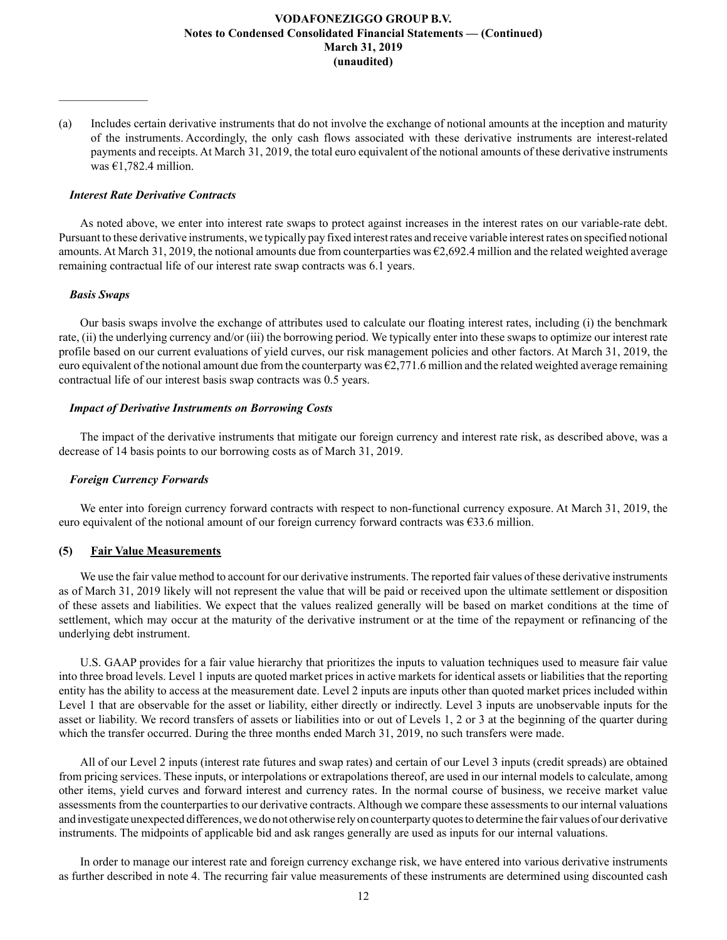(a) Includes certain derivative instruments that do not involve the exchange of notional amounts at the inception and maturity of the instruments. Accordingly, the only cash flows associated with these derivative instruments are interest-related payments and receipts. At March 31, 2019, the total euro equivalent of the notional amounts of these derivative instruments was  $\text{\large} \in 1,782.4$  million.

### *Interest Rate Derivative Contracts*

As noted above, we enter into interest rate swaps to protect against increases in the interest rates on our variable-rate debt. Pursuant to these derivative instruments, we typically pay fixed interest rates and receive variable interest rates on specified notional amounts. At March 31, 2019, the notional amounts due from counterparties was €2,692.4 million and the related weighted average remaining contractual life of our interest rate swap contracts was 6.1 years.

### *Basis Swaps*

 $\mathcal{L}$  and  $\mathcal{L}$  and  $\mathcal{L}$ 

Our basis swaps involve the exchange of attributes used to calculate our floating interest rates, including (i) the benchmark rate, (ii) the underlying currency and/or (iii) the borrowing period. We typically enter into these swaps to optimize our interest rate profile based on our current evaluations of yield curves, our risk management policies and other factors. At March 31, 2019, the euro equivalent of the notional amount due from the counterparty was  $\epsilon$ 2,771.6 million and the related weighted average remaining contractual life of our interest basis swap contracts was 0.5 years.

### *Impact of Derivative Instruments on Borrowing Costs*

The impact of the derivative instruments that mitigate our foreign currency and interest rate risk, as described above, was a decrease of 14 basis points to our borrowing costs as of March 31, 2019.

### *Foreign Currency Forwards*

We enter into foreign currency forward contracts with respect to non-functional currency exposure. At March 31, 2019, the euro equivalent of the notional amount of our foreign currency forward contracts was  $\epsilon$ 33.6 million.

### **(5) Fair Value Measurements**

We use the fair value method to account for our derivative instruments. The reported fair values of these derivative instruments as of March 31, 2019 likely will not represent the value that will be paid or received upon the ultimate settlement or disposition of these assets and liabilities. We expect that the values realized generally will be based on market conditions at the time of settlement, which may occur at the maturity of the derivative instrument or at the time of the repayment or refinancing of the underlying debt instrument.

U.S. GAAP provides for a fair value hierarchy that prioritizes the inputs to valuation techniques used to measure fair value into three broad levels. Level 1 inputs are quoted market prices in active markets for identical assets or liabilities that the reporting entity has the ability to access at the measurement date. Level 2 inputs are inputs other than quoted market prices included within Level 1 that are observable for the asset or liability, either directly or indirectly. Level 3 inputs are unobservable inputs for the asset or liability. We record transfers of assets or liabilities into or out of Levels 1, 2 or 3 at the beginning of the quarter during which the transfer occurred. During the three months ended March 31, 2019, no such transfers were made.

All of our Level 2 inputs (interest rate futures and swap rates) and certain of our Level 3 inputs (credit spreads) are obtained from pricing services. These inputs, or interpolations or extrapolations thereof, are used in our internal models to calculate, among other items, yield curves and forward interest and currency rates. In the normal course of business, we receive market value assessments from the counterparties to our derivative contracts. Although we compare these assessments to our internal valuations and investigate unexpected differences, we do not otherwise rely on counterparty quotes to determine the fair values of our derivative instruments. The midpoints of applicable bid and ask ranges generally are used as inputs for our internal valuations.

In order to manage our interest rate and foreign currency exchange risk, we have entered into various derivative instruments as further described in note 4. The recurring fair value measurements of these instruments are determined using discounted cash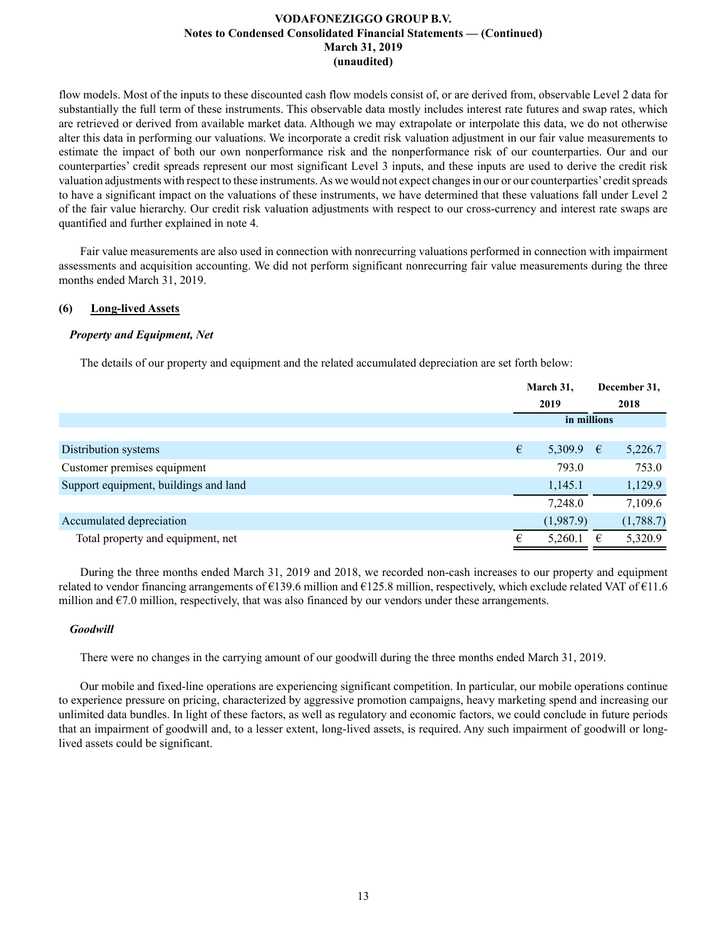flow models. Most of the inputs to these discounted cash flow models consist of, or are derived from, observable Level 2 data for substantially the full term of these instruments. This observable data mostly includes interest rate futures and swap rates, which are retrieved or derived from available market data. Although we may extrapolate or interpolate this data, we do not otherwise alter this data in performing our valuations. We incorporate a credit risk valuation adjustment in our fair value measurements to estimate the impact of both our own nonperformance risk and the nonperformance risk of our counterparties. Our and our counterparties' credit spreads represent our most significant Level 3 inputs, and these inputs are used to derive the credit risk valuation adjustments with respect to these instruments. As we would not expect changes in our or our counterparties' credit spreads to have a significant impact on the valuations of these instruments, we have determined that these valuations fall under Level 2 of the fair value hierarchy. Our credit risk valuation adjustments with respect to our cross-currency and interest rate swaps are quantified and further explained in note 4.

Fair value measurements are also used in connection with nonrecurring valuations performed in connection with impairment assessments and acquisition accounting. We did not perform significant nonrecurring fair value measurements during the three months ended March 31, 2019.

### **(6) Long-lived Assets**

### *Property and Equipment, Net*

The details of our property and equipment and the related accumulated depreciation are set forth below:

|                                       | March 31, |             | December 31, |
|---------------------------------------|-----------|-------------|--------------|
|                                       |           | 2019        | 2018         |
|                                       |           | in millions |              |
|                                       |           |             |              |
| Distribution systems                  | €         | 5,309.9 €   | 5,226.7      |
| Customer premises equipment           |           | 793.0       | 753.0        |
| Support equipment, buildings and land |           | 1,145.1     | 1,129.9      |
|                                       |           | 7,248.0     | 7,109.6      |
| Accumulated depreciation              |           | (1,987.9)   | (1,788.7)    |
| Total property and equipment, net     | €         | 5,260.1 €   | 5,320.9      |

During the three months ended March 31, 2019 and 2018, we recorded non-cash increases to our property and equipment related to vendor financing arrangements of €139.6 million and €125.8 million, respectively, which exclude related VAT of €11.6 million and €7.0 million, respectively, that was also financed by our vendors under these arrangements.

### *Goodwill*

There were no changes in the carrying amount of our goodwill during the three months ended March 31, 2019.

Our mobile and fixed-line operations are experiencing significant competition. In particular, our mobile operations continue to experience pressure on pricing, characterized by aggressive promotion campaigns, heavy marketing spend and increasing our unlimited data bundles. In light of these factors, as well as regulatory and economic factors, we could conclude in future periods that an impairment of goodwill and, to a lesser extent, long-lived assets, is required. Any such impairment of goodwill or longlived assets could be significant.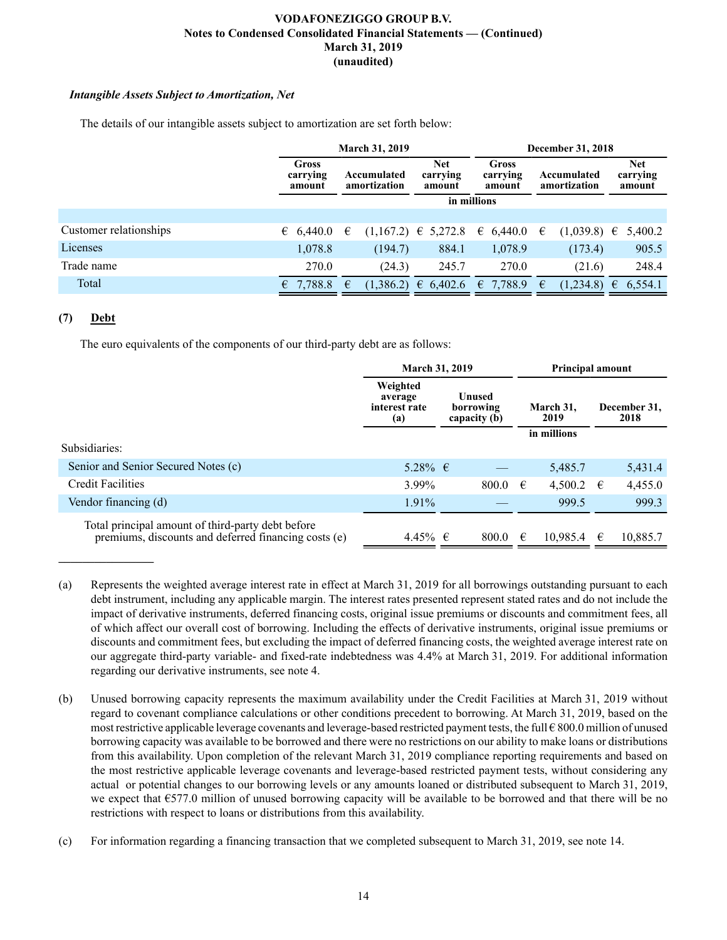# *Intangible Assets Subject to Amortization, Net*

The details of our intangible assets subject to amortization are set forth below:

|                        |                             |   | <b>March 31, 2019</b>       |                                  | <b>December 31, 2018</b> |                             |            |                             |   |                                  |
|------------------------|-----------------------------|---|-----------------------------|----------------------------------|--------------------------|-----------------------------|------------|-----------------------------|---|----------------------------------|
|                        | Gross<br>carrying<br>amount |   | Accumulated<br>amortization | <b>Net</b><br>carrying<br>amount |                          | Gross<br>carrying<br>amount |            | Accumulated<br>amortization |   | <b>Net</b><br>carrying<br>amount |
|                        |                             |   |                             | in millions                      |                          |                             |            |                             |   |                                  |
|                        |                             |   |                             |                                  |                          |                             |            |                             |   |                                  |
| Customer relationships | 6,440.0                     | € | $(1,167.2) \in 5,272.8$     |                                  |                          | 6,440.0                     | €          | (1,039.8)                   | € | 5,400.2                          |
| Licenses               | 1,078.8                     |   | (194.7)                     | 884.1                            |                          | 1,078.9                     |            | (173.4)                     |   | 905.5                            |
| Trade name             | 270.0                       |   | (24.3)                      | 245.7                            |                          | 270.0                       |            | (21.6)                      |   | 248.4                            |
| Total                  | € 7,788.8                   | € | (1,386.2)                   | 6,402.6                          |                          | & 7,788.9                   | $\epsilon$ | (1,234.8)                   | € | 6,554.1                          |

# **(7) Debt**

**\_\_\_\_\_\_\_\_\_\_\_\_\_\_\_\_**

The euro equivalents of the components of our third-party debt are as follows:

|                                                                                                           | <b>March 31, 2019</b>                       |                                     |                        | <b>Principal amount</b> |
|-----------------------------------------------------------------------------------------------------------|---------------------------------------------|-------------------------------------|------------------------|-------------------------|
|                                                                                                           | Weighted<br>average<br>interest rate<br>(a) | Unused<br>borrowing<br>capacity (b) | March 31.<br>2019      | December 31,<br>2018    |
|                                                                                                           |                                             |                                     | in millions            |                         |
| Subsidiaries:                                                                                             |                                             |                                     |                        |                         |
| Senior and Senior Secured Notes (c)                                                                       | 5.28% €                                     |                                     | 5,485.7                | 5,431.4                 |
| <b>Credit Facilities</b>                                                                                  | 3.99%                                       | 800.0                               | 4,500.2<br>€           | 4,455.0<br>€            |
| Vendor financing (d)                                                                                      | 1.91%                                       |                                     | 999.5                  | 999.3                   |
| Total principal amount of third-party debt before<br>premiums, discounts and deferred financing costs (e) | 4.45% €                                     | 800.0                               | 10,985.4<br>$\epsilon$ | 10,885.7<br>€           |

- (a) Represents the weighted average interest rate in effect at March 31, 2019 for all borrowings outstanding pursuant to each debt instrument, including any applicable margin. The interest rates presented represent stated rates and do not include the impact of derivative instruments, deferred financing costs, original issue premiums or discounts and commitment fees, all of which affect our overall cost of borrowing. Including the effects of derivative instruments, original issue premiums or discounts and commitment fees, but excluding the impact of deferred financing costs, the weighted average interest rate on our aggregate third-party variable- and fixed-rate indebtedness was 4.4% at March 31, 2019. For additional information regarding our derivative instruments, see note 4.
- (b) Unused borrowing capacity represents the maximum availability under the Credit Facilities at March 31, 2019 without regard to covenant compliance calculations or other conditions precedent to borrowing. At March 31, 2019, based on the most restrictive applicable leverage covenants and leverage-based restricted payment tests, the full € 800.0 million of unused borrowing capacity was available to be borrowed and there were no restrictions on our ability to make loans or distributions from this availability. Upon completion of the relevant March 31, 2019 compliance reporting requirements and based on the most restrictive applicable leverage covenants and leverage-based restricted payment tests, without considering any actual or potential changes to our borrowing levels or any amounts loaned or distributed subsequent to March 31, 2019, we expect that €577.0 million of unused borrowing capacity will be available to be borrowed and that there will be no restrictions with respect to loans or distributions from this availability.
- (c) For information regarding a financing transaction that we completed subsequent to March 31, 2019, see note 14.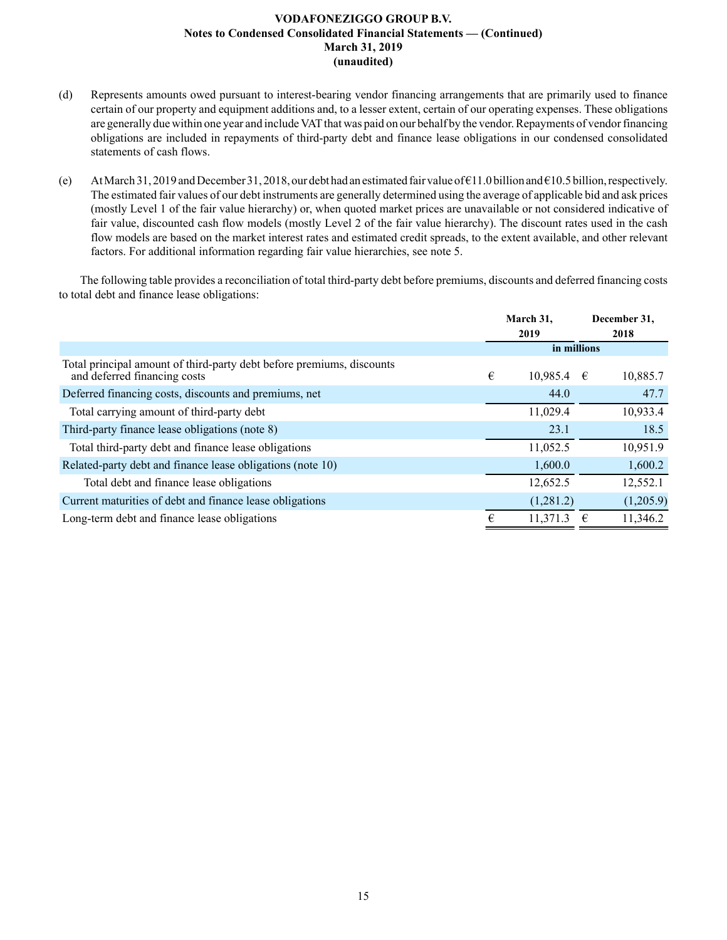- (d) Represents amounts owed pursuant to interest-bearing vendor financing arrangements that are primarily used to finance certain of our property and equipment additions and, to a lesser extent, certain of our operating expenses. These obligations are generally due within one year and include VAT that was paid on our behalf by the vendor. Repayments of vendor financing obligations are included in repayments of third-party debt and finance lease obligations in our condensed consolidated statements of cash flows.
- (e) At March 31, 2019 and December 31, 2018, our debt had an estimated fair value of  $\epsilon$ 11.0 billion and  $\epsilon$ 10.5 billion, respectively. The estimated fair values of our debt instruments are generally determined using the average of applicable bid and ask prices (mostly Level 1 of the fair value hierarchy) or, when quoted market prices are unavailable or not considered indicative of fair value, discounted cash flow models (mostly Level 2 of the fair value hierarchy). The discount rates used in the cash flow models are based on the market interest rates and estimated credit spreads, to the extent available, and other relevant factors. For additional information regarding fair value hierarchies, see note 5.

The following table provides a reconciliation of total third-party debt before premiums, discounts and deferred financing costs to total debt and finance lease obligations:

|                                                                                                       |   | March 31,   |   | December 31, |
|-------------------------------------------------------------------------------------------------------|---|-------------|---|--------------|
|                                                                                                       |   | 2019        |   | 2018         |
|                                                                                                       |   | in millions |   |              |
| Total principal amount of third-party debt before premiums, discounts<br>and deferred financing costs | € | 10,985.4    | € | 10,885.7     |
| Deferred financing costs, discounts and premiums, net                                                 |   | 44.0        |   | 47.7         |
| Total carrying amount of third-party debt                                                             |   | 11,029.4    |   | 10,933.4     |
| Third-party finance lease obligations (note 8)                                                        |   | 23.1        |   | 18.5         |
| Total third-party debt and finance lease obligations                                                  |   | 11,052.5    |   | 10,951.9     |
| Related-party debt and finance lease obligations (note 10)                                            |   | 1,600.0     |   | 1,600.2      |
| Total debt and finance lease obligations                                                              |   | 12,652.5    |   | 12,552.1     |
| Current maturities of debt and finance lease obligations                                              |   | (1,281.2)   |   | (1,205.9)    |
| Long-term debt and finance lease obligations                                                          | € | 11,371.3    | € | 11,346.2     |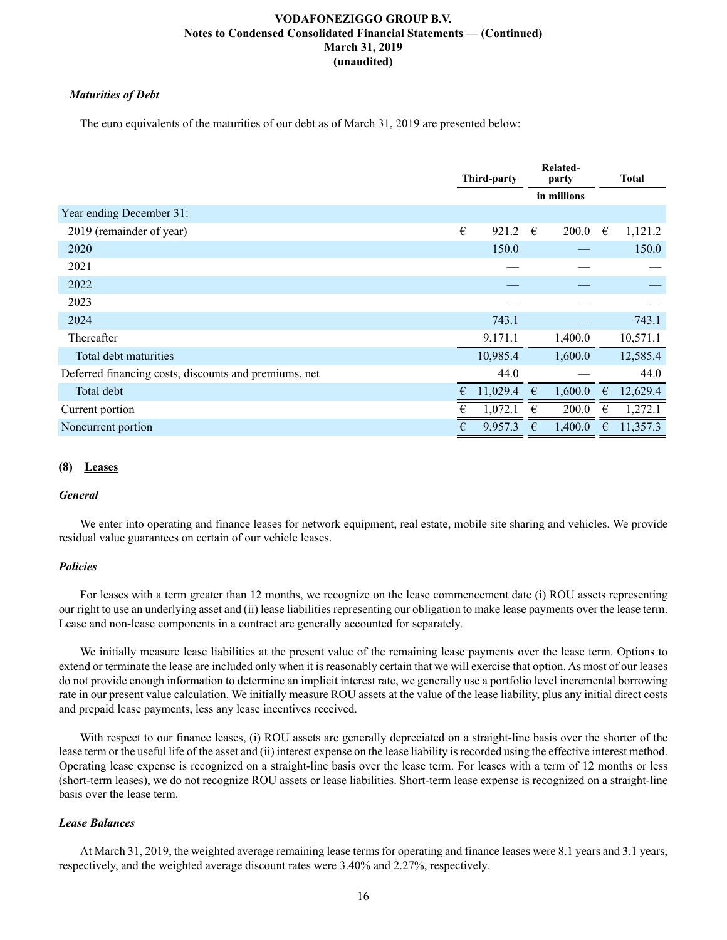# *Maturities of Debt*

The euro equivalents of the maturities of our debt as of March 31, 2019 are presented below:

|                                                       |            | Third-party |   | Related-<br>party |   | <b>Total</b> |
|-------------------------------------------------------|------------|-------------|---|-------------------|---|--------------|
|                                                       |            |             |   | in millions       |   |              |
| Year ending December 31:                              |            |             |   |                   |   |              |
| 2019 (remainder of year)                              | €          | 921.2       | € | 200.0             | € | 1,121.2      |
| 2020                                                  |            | 150.0       |   |                   |   | 150.0        |
| 2021                                                  |            |             |   |                   |   |              |
| 2022                                                  |            |             |   |                   |   |              |
| 2023                                                  |            |             |   |                   |   |              |
| 2024                                                  |            | 743.1       |   |                   |   | 743.1        |
| Thereafter                                            |            | 9,171.1     |   | 1,400.0           |   | 10,571.1     |
| Total debt maturities                                 |            | 10,985.4    |   | 1,600.0           |   | 12,585.4     |
| Deferred financing costs, discounts and premiums, net |            | 44.0        |   |                   |   | 44.0         |
| Total debt                                            | €          | 11,029.4    | € | 1,600.0           | € | 12,629.4     |
| Current portion                                       | $\epsilon$ | 1,072.1     | € | 200.0             | € | 1,272.1      |
| Noncurrent portion                                    | $\epsilon$ | 9,957.3     | € | 1,400.0           | € | 11,357.3     |

# **(8) Leases**

### *General*

We enter into operating and finance leases for network equipment, real estate, mobile site sharing and vehicles. We provide residual value guarantees on certain of our vehicle leases.

# *Policies*

For leases with a term greater than 12 months, we recognize on the lease commencement date (i) ROU assets representing our right to use an underlying asset and (ii) lease liabilities representing our obligation to make lease payments over the lease term. Lease and non-lease components in a contract are generally accounted for separately.

We initially measure lease liabilities at the present value of the remaining lease payments over the lease term. Options to extend or terminate the lease are included only when it is reasonably certain that we will exercise that option. As most of our leases do not provide enough information to determine an implicit interest rate, we generally use a portfolio level incremental borrowing rate in our present value calculation. We initially measure ROU assets at the value of the lease liability, plus any initial direct costs and prepaid lease payments, less any lease incentives received.

With respect to our finance leases, (i) ROU assets are generally depreciated on a straight-line basis over the shorter of the lease term or the useful life of the asset and (ii) interest expense on the lease liability is recorded using the effective interest method. Operating lease expense is recognized on a straight-line basis over the lease term. For leases with a term of 12 months or less (short-term leases), we do not recognize ROU assets or lease liabilities. Short-term lease expense is recognized on a straight-line basis over the lease term.

# *Lease Balances*

At March 31, 2019, the weighted average remaining lease terms for operating and finance leases were 8.1 years and 3.1 years, respectively, and the weighted average discount rates were 3.40% and 2.27%, respectively.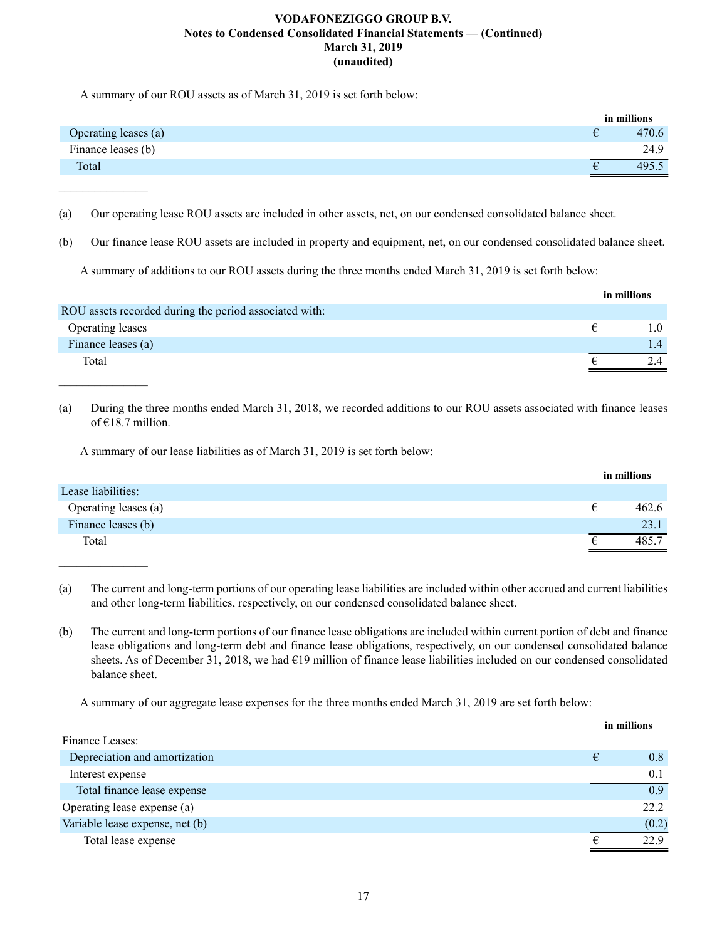A summary of our ROU assets as of March 31, 2019 is set forth below:

 $\mathcal{L}$  , we have the set of  $\mathcal{L}$ 

 $\mathcal{L}$  , we have the set of  $\mathcal{L}$ 

 $\mathcal{L}_\text{max}$  , where  $\mathcal{L}_\text{max}$ 

|                      |   | in millions |
|----------------------|---|-------------|
| Operating leases (a) |   | 470.6       |
| Finance leases (b)   |   | 24.9        |
| Total                | € | 495.5       |

- (a) Our operating lease ROU assets are included in other assets, net, on our condensed consolidated balance sheet.
- (b) Our finance lease ROU assets are included in property and equipment, net, on our condensed consolidated balance sheet.

A summary of additions to our ROU assets during the three months ended March 31, 2019 is set forth below:

|                                                        | in millions |
|--------------------------------------------------------|-------------|
| ROU assets recorded during the period associated with: |             |
| Operating leases                                       |             |
| Finance leases (a)                                     | 14          |
| Total                                                  |             |

(a) During the three months ended March 31, 2018, we recorded additions to our ROU assets associated with finance leases of €18.7 million.

A summary of our lease liabilities as of March 31, 2019 is set forth below:

|                      |   | in millions |
|----------------------|---|-------------|
| Lease liabilities:   |   |             |
| Operating leases (a) | € | 462.6       |
| Finance leases (b)   |   | 23.1        |
| Total                | € | 485.7       |

(a) The current and long-term portions of our operating lease liabilities are included within other accrued and current liabilities and other long-term liabilities, respectively, on our condensed consolidated balance sheet.

(b) The current and long-term portions of our finance lease obligations are included within current portion of debt and finance lease obligations and long-term debt and finance lease obligations, respectively, on our condensed consolidated balance sheets. As of December 31, 2018, we had €19 million of finance lease liabilities included on our condensed consolidated balance sheet.

A summary of our aggregate lease expenses for the three months ended March 31, 2019 are set forth below:

|                                 | in millions |       |
|---------------------------------|-------------|-------|
| Finance Leases:                 |             |       |
| Depreciation and amortization   | €           | 0.8   |
| Interest expense                |             | 0.1   |
| Total finance lease expense     |             | 0.9   |
| Operating lease expense (a)     |             | 22.2  |
| Variable lease expense, net (b) |             | (0.2) |
| Total lease expense             |             | 22.9  |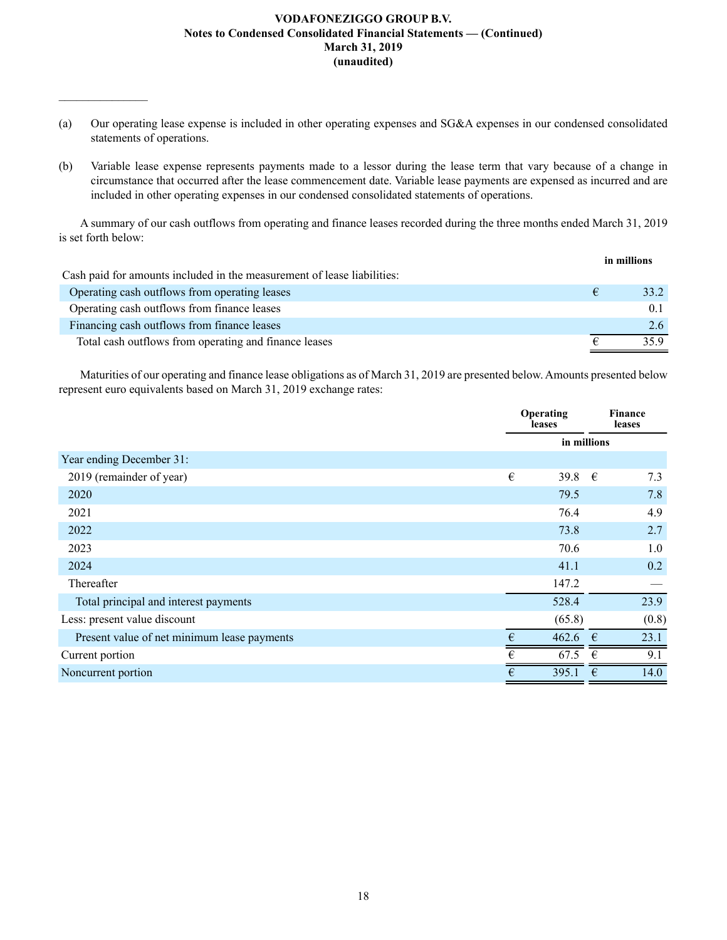(a) Our operating lease expense is included in other operating expenses and SG&A expenses in our condensed consolidated statements of operations.

 $\mathcal{L}$  , we have the set of  $\mathcal{L}$ 

(b) Variable lease expense represents payments made to a lessor during the lease term that vary because of a change in circumstance that occurred after the lease commencement date. Variable lease payments are expensed as incurred and are included in other operating expenses in our condensed consolidated statements of operations.

A summary of our cash outflows from operating and finance leases recorded during the three months ended March 31, 2019 is set forth below:

|                                                                         | in millions |      |
|-------------------------------------------------------------------------|-------------|------|
| Cash paid for amounts included in the measurement of lease liabilities: |             |      |
| Operating cash outflows from operating leases                           | €           | 33.2 |
| Operating cash outflows from finance leases                             |             | 0.1  |
| Financing cash outflows from finance leases                             |             | 26   |
| Total cash outflows from operating and finance leases                   |             | 35 Q |

Maturities of our operating and finance lease obligations as of March 31, 2019 are presented below. Amounts presented below represent euro equivalents based on March 31, 2019 exchange rates:

|                                             | Operating<br>leases |             | <b>Finance</b><br>leases |  |
|---------------------------------------------|---------------------|-------------|--------------------------|--|
|                                             |                     | in millions |                          |  |
| Year ending December 31:                    |                     |             |                          |  |
| 2019 (remainder of year)                    | €                   | 39.8<br>€   | 7.3                      |  |
| 2020                                        |                     | 79.5        | 7.8                      |  |
| 2021                                        |                     | 76.4        | 4.9                      |  |
| 2022                                        |                     | 73.8        | 2.7                      |  |
| 2023                                        |                     | 70.6        | 1.0                      |  |
| 2024                                        |                     | 41.1        | 0.2                      |  |
| Thereafter                                  |                     | 147.2       |                          |  |
| Total principal and interest payments       |                     | 528.4       | 23.9                     |  |
| Less: present value discount                |                     | (65.8)      | (0.8)                    |  |
| Present value of net minimum lease payments | €                   | 462.6<br>€  | 23.1                     |  |
| Current portion                             | €                   | 67.5<br>€   | 9.1                      |  |
| Noncurrent portion                          | €<br>395.1          | €           | 14.0                     |  |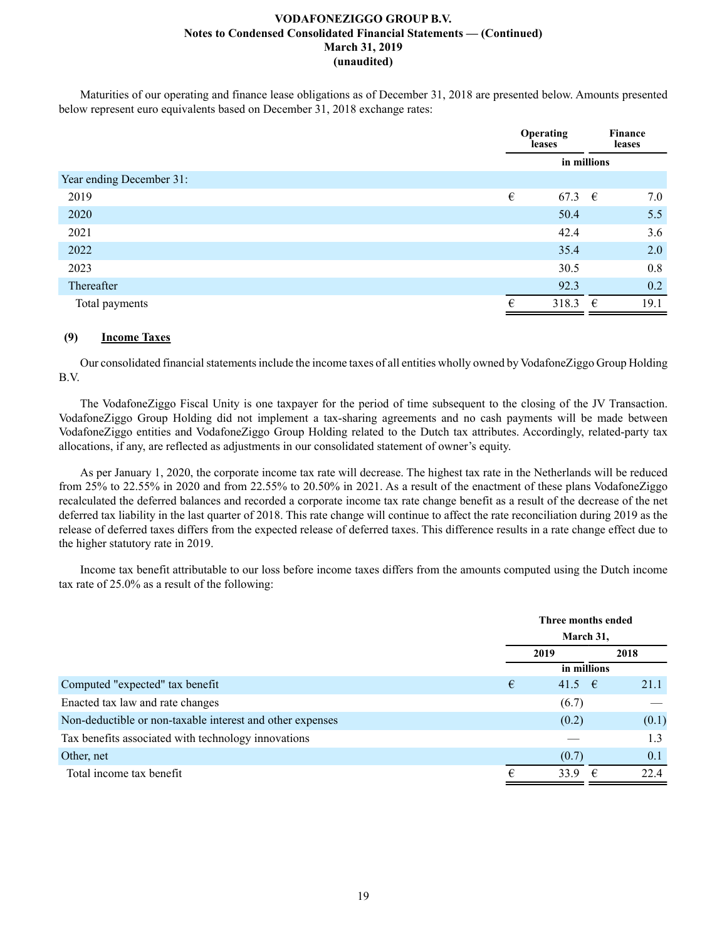Maturities of our operating and finance lease obligations as of December 31, 2018 are presented below. Amounts presented below represent euro equivalents based on December 31, 2018 exchange rates:

|                          |            | <b>Operating</b><br>leases |            | <b>Finance</b><br>leases |
|--------------------------|------------|----------------------------|------------|--------------------------|
|                          |            | in millions                |            |                          |
| Year ending December 31: |            |                            |            |                          |
| 2019                     | $\epsilon$ | 67.3                       | $\epsilon$ | 7.0                      |
| 2020                     |            | 50.4                       |            | 5.5                      |
| 2021                     |            | 42.4                       |            | 3.6                      |
| 2022                     |            | 35.4                       |            | 2.0                      |
| 2023                     |            | 30.5                       |            | 0.8                      |
| Thereafter               |            | 92.3                       |            | 0.2                      |
| Total payments           | $\epsilon$ | 318.3                      | $\epsilon$ | 19.1                     |

# **(9) Income Taxes**

Our consolidated financial statements include the income taxes of all entities wholly owned by VodafoneZiggo Group Holding B.V.

The VodafoneZiggo Fiscal Unity is one taxpayer for the period of time subsequent to the closing of the JV Transaction. VodafoneZiggo Group Holding did not implement a tax-sharing agreements and no cash payments will be made between VodafoneZiggo entities and VodafoneZiggo Group Holding related to the Dutch tax attributes. Accordingly, related-party tax allocations, if any, are reflected as adjustments in our consolidated statement of owner's equity.

As per January 1, 2020, the corporate income tax rate will decrease. The highest tax rate in the Netherlands will be reduced from 25% to 22.55% in 2020 and from 22.55% to 20.50% in 2021. As a result of the enactment of these plans VodafoneZiggo recalculated the deferred balances and recorded a corporate income tax rate change benefit as a result of the decrease of the net deferred tax liability in the last quarter of 2018. This rate change will continue to affect the rate reconciliation during 2019 as the release of deferred taxes differs from the expected release of deferred taxes. This difference results in a rate change effect due to the higher statutory rate in 2019.

Income tax benefit attributable to our loss before income taxes differs from the amounts computed using the Dutch income tax rate of 25.0% as a result of the following:

|                                                           |   | Three months ended |       |  |  |
|-----------------------------------------------------------|---|--------------------|-------|--|--|
|                                                           |   | March 31,          |       |  |  |
|                                                           |   | 2019               | 2018  |  |  |
|                                                           |   | in millions        |       |  |  |
| Computed "expected" tax benefit                           | € | 41.5 $\in$         | 21.1  |  |  |
| Enacted tax law and rate changes                          |   | (6.7)              |       |  |  |
| Non-deductible or non-taxable interest and other expenses |   | (0.2)              | (0.1) |  |  |
| Tax benefits associated with technology innovations       |   |                    | 1.3   |  |  |
| Other, net                                                |   | (0.7)              | 0.1   |  |  |
| Total income tax benefit                                  | € | 33.9<br>$\epsilon$ | 22.4  |  |  |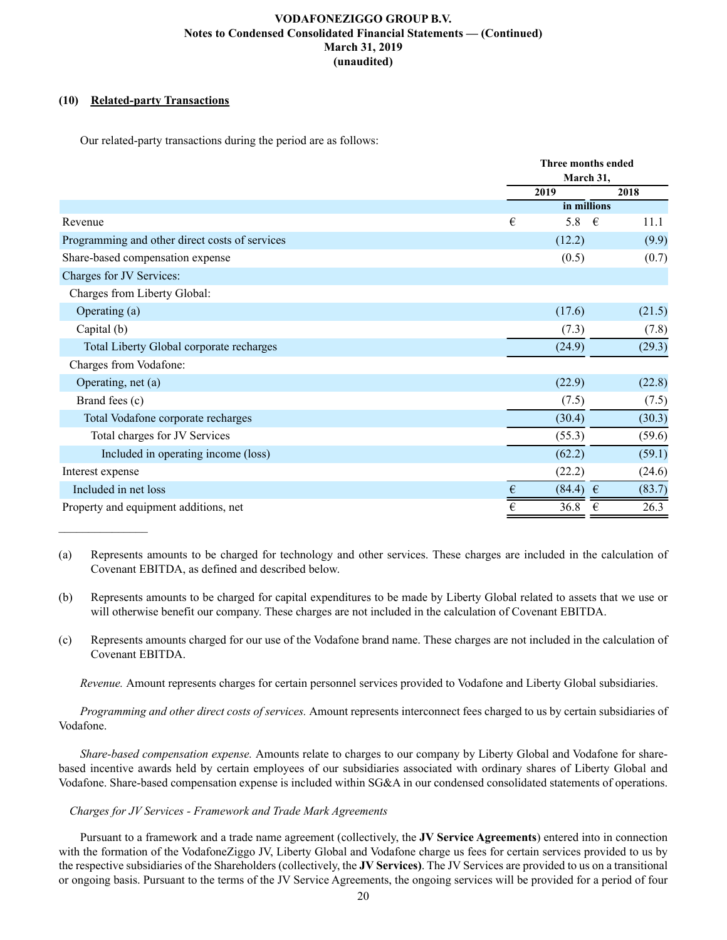### **(10) Related-party Transactions**

 $\mathcal{L}$  , we have the set of  $\mathcal{L}$ 

Our related-party transactions during the period are as follows:

|                                                |                         | Three months ended<br>March 31, |
|------------------------------------------------|-------------------------|---------------------------------|
|                                                | 2019                    | 2018                            |
|                                                |                         | in millions                     |
| Revenue                                        | €                       | 5.8<br>€<br>11.1                |
| Programming and other direct costs of services |                         | (12.2)<br>(9.9)                 |
| Share-based compensation expense               |                         | (0.5)<br>(0.7)                  |
| Charges for JV Services:                       |                         |                                 |
| Charges from Liberty Global:                   |                         |                                 |
| Operating (a)                                  |                         | (17.6)<br>(21.5)                |
| Capital (b)                                    |                         | (7.3)<br>(7.8)                  |
| Total Liberty Global corporate recharges       |                         | (24.9)<br>(29.3)                |
| Charges from Vodafone:                         |                         |                                 |
| Operating, net (a)                             |                         | (22.9)<br>(22.8)                |
| Brand fees (c)                                 |                         | (7.5)<br>(7.5)                  |
| Total Vodafone corporate recharges             |                         | (30.4)<br>(30.3)                |
| Total charges for JV Services                  |                         | (55.3)<br>(59.6)                |
| Included in operating income (loss)            |                         | (62.2)<br>(59.1)                |
| Interest expense                               |                         | (22.2)<br>(24.6)                |
| Included in net loss                           | $\boldsymbol{\epsilon}$ | $(84.4) \t∈$<br>(83.7)          |
| Property and equipment additions, net          | $\overline{\epsilon}$   | 26.3<br>36.8<br>€               |

<sup>(</sup>a) Represents amounts to be charged for technology and other services. These charges are included in the calculation of Covenant EBITDA, as defined and described below.

(c) Represents amounts charged for our use of the Vodafone brand name. These charges are not included in the calculation of Covenant EBITDA.

*Revenue.* Amount represents charges for certain personnel services provided to Vodafone and Liberty Global subsidiaries.

*Programming and other direct costs of services.* Amount represents interconnect fees charged to us by certain subsidiaries of Vodafone.

*Share-based compensation expense.* Amounts relate to charges to our company by Liberty Global and Vodafone for sharebased incentive awards held by certain employees of our subsidiaries associated with ordinary shares of Liberty Global and Vodafone. Share-based compensation expense is included within SG&A in our condensed consolidated statements of operations.

# *Charges for JV Services - Framework and Trade Mark Agreements*

Pursuant to a framework and a trade name agreement (collectively, the **JV Service Agreements**) entered into in connection with the formation of the VodafoneZiggo JV, Liberty Global and Vodafone charge us fees for certain services provided to us by the respective subsidiaries of the Shareholders (collectively, the **JV Services)**. The JV Services are provided to us on a transitional or ongoing basis. Pursuant to the terms of the JV Service Agreements, the ongoing services will be provided for a period of four

<sup>(</sup>b) Represents amounts to be charged for capital expenditures to be made by Liberty Global related to assets that we use or will otherwise benefit our company. These charges are not included in the calculation of Covenant EBITDA.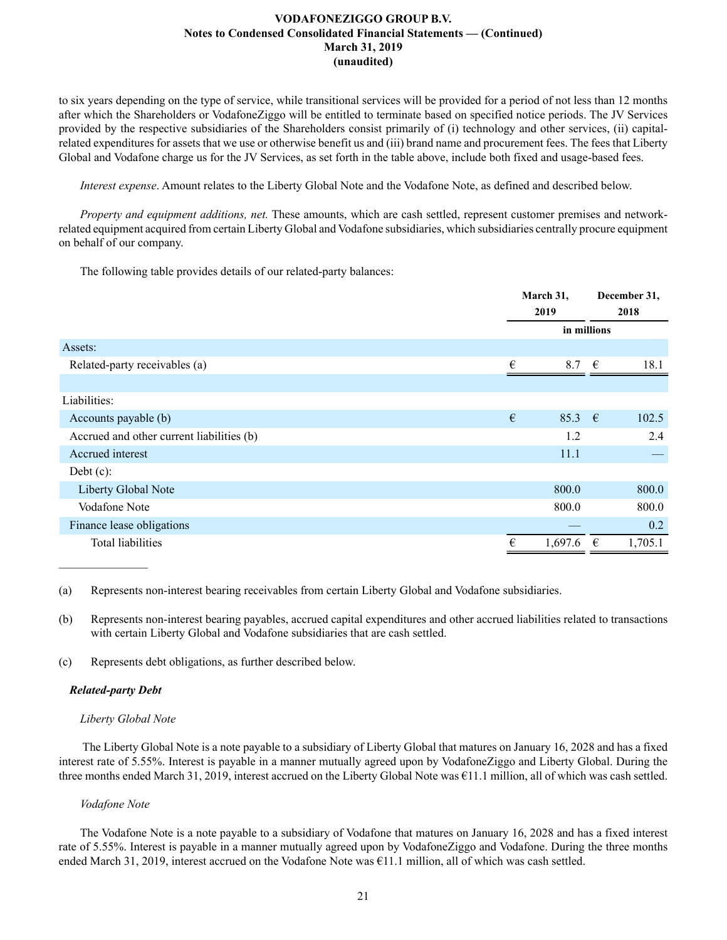to six years depending on the type of service, while transitional services will be provided for a period of not less than 12 months after which the Shareholders or VodafoneZiggo will be entitled to terminate based on specified notice periods. The JV Services provided by the respective subsidiaries of the Shareholders consist primarily of (i) technology and other services, (ii) capitalrelated expenditures for assets that we use or otherwise benefit us and (iii) brand name and procurement fees. The fees that Liberty Global and Vodafone charge us for the JV Services, as set forth in the table above, include both fixed and usage-based fees.

*Interest expense*. Amount relates to the Liberty Global Note and the Vodafone Note, as defined and described below.

*Property and equipment additions, net.* These amounts, which are cash settled, represent customer premises and networkrelated equipment acquired from certain Liberty Global and Vodafone subsidiaries, which subsidiaries centrally procure equipment on behalf of our company.

The following table provides details of our related-party balances:

|                                           |   | March 31,<br>2019 |            | December 31, |
|-------------------------------------------|---|-------------------|------------|--------------|
|                                           |   |                   |            | 2018         |
|                                           |   | in millions       |            |              |
| Assets:                                   |   |                   |            |              |
| Related-party receivables (a)             | € | 8.7               | $\epsilon$ | 18.1         |
|                                           |   |                   |            |              |
| Liabilities:                              |   |                   |            |              |
| Accounts payable (b)                      | € | 85.3 $\epsilon$   |            | 102.5        |
| Accrued and other current liabilities (b) |   | 1.2               |            | 2.4          |
| Accrued interest                          |   | 11.1              |            |              |
| Debt $(c)$ :                              |   |                   |            |              |
| Liberty Global Note                       |   | 800.0             |            | 800.0        |
| Vodafone Note                             |   | 800.0             |            | 800.0        |
| Finance lease obligations                 |   |                   |            | 0.2          |
| <b>Total liabilities</b>                  | € | 1,697.6           | €          | 1,705.1      |

(a) Represents non-interest bearing receivables from certain Liberty Global and Vodafone subsidiaries.

(b) Represents non-interest bearing payables, accrued capital expenditures and other accrued liabilities related to transactions with certain Liberty Global and Vodafone subsidiaries that are cash settled.

(c) Represents debt obligations, as further described below.

# *Related-party Debt*

 $\mathcal{L}_\text{max}$  , where  $\mathcal{L}_\text{max}$ 

# *Liberty Global Note*

 The Liberty Global Note is a note payable to a subsidiary of Liberty Global that matures on January 16, 2028 and has a fixed interest rate of 5.55%. Interest is payable in a manner mutually agreed upon by VodafoneZiggo and Liberty Global. During the three months ended March 31, 2019, interest accrued on the Liberty Global Note was €11.1 million, all of which was cash settled.

# *Vodafone Note*

The Vodafone Note is a note payable to a subsidiary of Vodafone that matures on January 16, 2028 and has a fixed interest rate of 5.55%. Interest is payable in a manner mutually agreed upon by VodafoneZiggo and Vodafone. During the three months ended March 31, 2019, interest accrued on the Vodafone Note was €11.1 million, all of which was cash settled.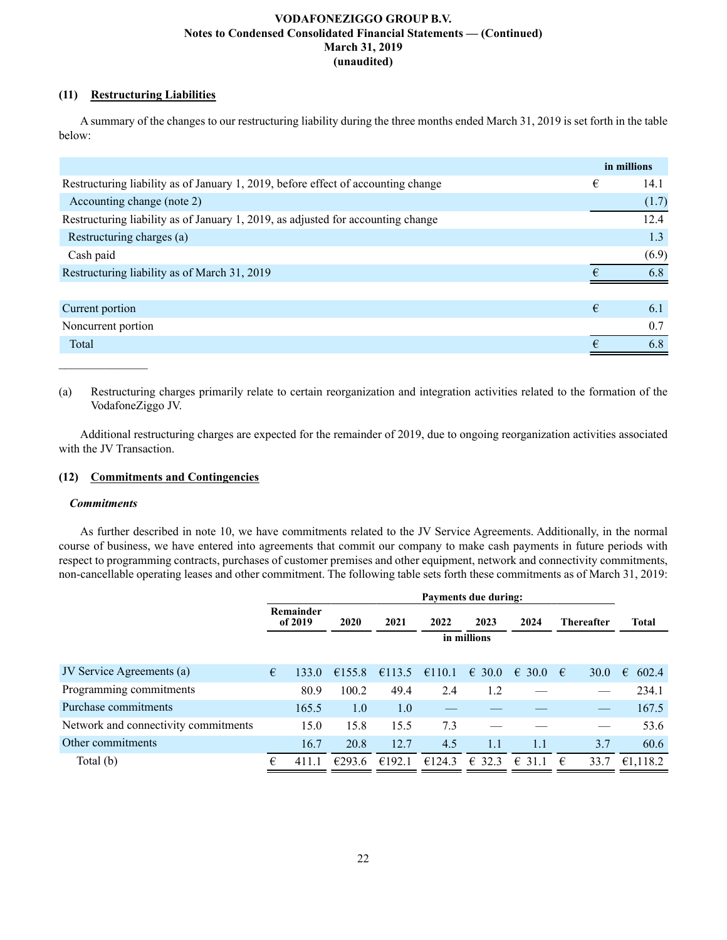# **(11) Restructuring Liabilities**

A summary of the changes to our restructuring liability during the three months ended March 31, 2019 is set forth in the table below:

|                                                                                   | in millions |       |
|-----------------------------------------------------------------------------------|-------------|-------|
| Restructuring liability as of January 1, 2019, before effect of accounting change | €           | 14.1  |
| Accounting change (note 2)                                                        |             | (1.7) |
| Restructuring liability as of January 1, 2019, as adjusted for accounting change  |             | 12.4  |
| Restructuring charges (a)                                                         |             | 1.3   |
| Cash paid                                                                         |             | (6.9) |
| Restructuring liability as of March 31, 2019                                      |             | 6.8   |
|                                                                                   |             |       |
| Current portion                                                                   | €           | 6.1   |
| Noncurrent portion                                                                |             | 0.7   |
| Total                                                                             |             | 6.8   |

(a) Restructuring charges primarily relate to certain reorganization and integration activities related to the formation of the VodafoneZiggo JV.

Additional restructuring charges are expected for the remainder of 2019, due to ongoing reorganization activities associated with the JV Transaction.

# **(12) Commitments and Contingencies**

# *Commitments*

 $\mathcal{L}_\text{max}$  , where  $\mathcal{L}_\text{max}$ 

As further described in note 10, we have commitments related to the JV Service Agreements. Additionally, in the normal course of business, we have entered into agreements that commit our company to make cash payments in future periods with respect to programming contracts, purchases of customer premises and other equipment, network and connectivity commitments, non-cancellable operating leases and other commitment. The following table sets forth these commitments as of March 31, 2019:

|                                      | <b>Payments due during:</b> |                      |        |             |                  |                 |                 |                    |            |
|--------------------------------------|-----------------------------|----------------------|--------|-------------|------------------|-----------------|-----------------|--------------------|------------|
|                                      |                             | Remainder<br>of 2019 | 2020   | 2021        | 2022             | 2023            | 2024            | <b>Thereafter</b>  | Total      |
|                                      |                             |                      |        | in millions |                  |                 |                 |                    |            |
|                                      |                             |                      |        |             |                  |                 |                 |                    |            |
| JV Service Agreements (a)            | €                           | 133.0                | €155.8 | €113.5      | $\epsilon$ 110.1 | $\epsilon$ 30.0 | $\epsilon$ 30.0 | 30.0<br>$\epsilon$ | 602.4<br>€ |
| Programming commitments              |                             | 80.9                 | 100.2  | 49.4        | 2.4              | 1.2             |                 |                    | 234.1      |
| Purchase commitments                 |                             | 165.5                | 1.0    | 1.0         |                  |                 |                 |                    | 167.5      |
| Network and connectivity commitments |                             | 15.0                 | 15.8   | 15.5        | 7.3              |                 |                 |                    | 53.6       |
| Other commitments                    |                             | 16.7                 | 20.8   | 12.7        | 4.5              | 1.1             | 1.1             | 3.7                | 60.6       |
| Total (b)                            | €                           | 411.1                | €293.6 | €192.1      | €124.3           | $\epsilon$ 32.3 | €<br>31.1       | 33.7<br>€          | €1,118.2   |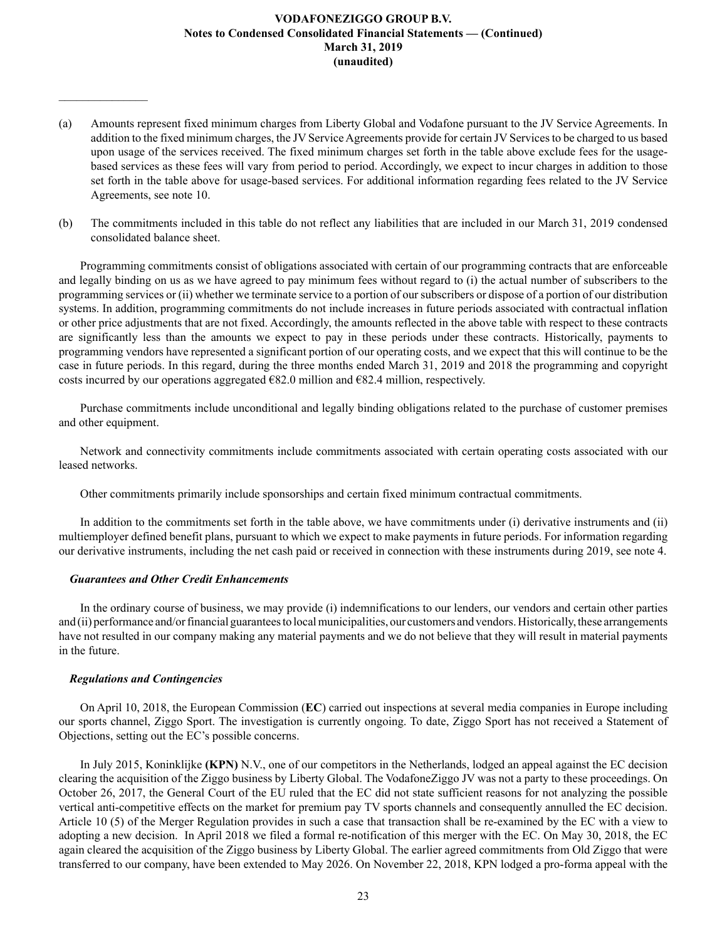- (a) Amounts represent fixed minimum charges from Liberty Global and Vodafone pursuant to the JV Service Agreements. In addition to the fixed minimum charges, the JV Service Agreements provide for certain JV Services to be charged to us based upon usage of the services received. The fixed minimum charges set forth in the table above exclude fees for the usagebased services as these fees will vary from period to period. Accordingly, we expect to incur charges in addition to those set forth in the table above for usage-based services. For additional information regarding fees related to the JV Service Agreements, see note 10.
- (b) The commitments included in this table do not reflect any liabilities that are included in our March 31, 2019 condensed consolidated balance sheet.

Programming commitments consist of obligations associated with certain of our programming contracts that are enforceable and legally binding on us as we have agreed to pay minimum fees without regard to (i) the actual number of subscribers to the programming services or (ii) whether we terminate service to a portion of our subscribers or dispose of a portion of our distribution systems. In addition, programming commitments do not include increases in future periods associated with contractual inflation or other price adjustments that are not fixed. Accordingly, the amounts reflected in the above table with respect to these contracts are significantly less than the amounts we expect to pay in these periods under these contracts. Historically, payments to programming vendors have represented a significant portion of our operating costs, and we expect that this will continue to be the case in future periods. In this regard, during the three months ended March 31, 2019 and 2018 the programming and copyright costs incurred by our operations aggregated  $682.0$  million and  $682.4$  million, respectively.

Purchase commitments include unconditional and legally binding obligations related to the purchase of customer premises and other equipment.

Network and connectivity commitments include commitments associated with certain operating costs associated with our leased networks.

Other commitments primarily include sponsorships and certain fixed minimum contractual commitments.

In addition to the commitments set forth in the table above, we have commitments under (i) derivative instruments and (ii) multiemployer defined benefit plans, pursuant to which we expect to make payments in future periods. For information regarding our derivative instruments, including the net cash paid or received in connection with these instruments during 2019, see note 4.

### *Guarantees and Other Credit Enhancements*

In the ordinary course of business, we may provide (i) indemnifications to our lenders, our vendors and certain other parties and (ii) performance and/or financial guarantees to local municipalities, our customers and vendors. Historically, these arrangements have not resulted in our company making any material payments and we do not believe that they will result in material payments in the future.

### *Regulations and Contingencies*

 $\mathcal{L}$  , we have the set of  $\mathcal{L}$ 

On April 10, 2018, the European Commission (**EC**) carried out inspections at several media companies in Europe including our sports channel, Ziggo Sport. The investigation is currently ongoing. To date, Ziggo Sport has not received a Statement of Objections, setting out the EC's possible concerns.

In July 2015, Koninklijke **(KPN)** N.V., one of our competitors in the Netherlands, lodged an appeal against the EC decision clearing the acquisition of the Ziggo business by Liberty Global. The VodafoneZiggo JV was not a party to these proceedings. On October 26, 2017, the General Court of the EU ruled that the EC did not state sufficient reasons for not analyzing the possible vertical anti-competitive effects on the market for premium pay TV sports channels and consequently annulled the EC decision. Article 10 (5) of the Merger Regulation provides in such a case that transaction shall be re-examined by the EC with a view to adopting a new decision. In April 2018 we filed a formal re-notification of this merger with the EC. On May 30, 2018, the EC again cleared the acquisition of the Ziggo business by Liberty Global. The earlier agreed commitments from Old Ziggo that were transferred to our company, have been extended to May 2026. On November 22, 2018, KPN lodged a pro-forma appeal with the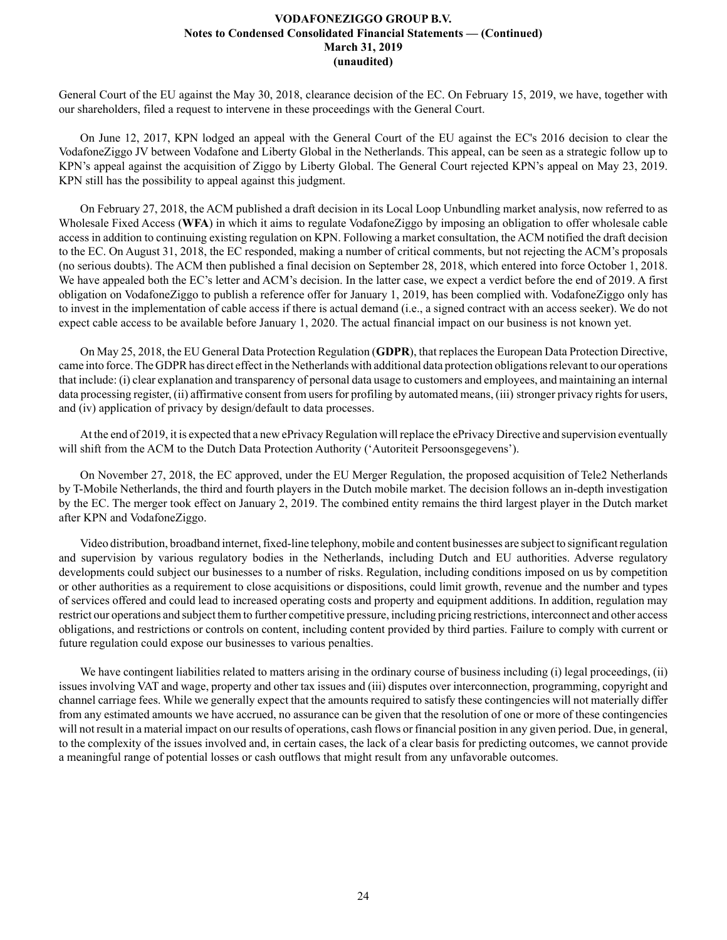General Court of the EU against the May 30, 2018, clearance decision of the EC. On February 15, 2019, we have, together with our shareholders, filed a request to intervene in these proceedings with the General Court.

On June 12, 2017, KPN lodged an appeal with the General Court of the EU against the EC's 2016 decision to clear the VodafoneZiggo JV between Vodafone and Liberty Global in the Netherlands. This appeal, can be seen as a strategic follow up to KPN's appeal against the acquisition of Ziggo by Liberty Global. The General Court rejected KPN's appeal on May 23, 2019. KPN still has the possibility to appeal against this judgment.

On February 27, 2018, the ACM published a draft decision in its Local Loop Unbundling market analysis, now referred to as Wholesale Fixed Access (**WFA**) in which it aims to regulate VodafoneZiggo by imposing an obligation to offer wholesale cable access in addition to continuing existing regulation on KPN. Following a market consultation, the ACM notified the draft decision to the EC. On August 31, 2018, the EC responded, making a number of critical comments, but not rejecting the ACM's proposals (no serious doubts). The ACM then published a final decision on September 28, 2018, which entered into force October 1, 2018. We have appealed both the EC's letter and ACM's decision. In the latter case, we expect a verdict before the end of 2019. A first obligation on VodafoneZiggo to publish a reference offer for January 1, 2019, has been complied with. VodafoneZiggo only has to invest in the implementation of cable access if there is actual demand (i.e., a signed contract with an access seeker). We do not expect cable access to be available before January 1, 2020. The actual financial impact on our business is not known yet.

On May 25, 2018, the EU General Data Protection Regulation (**GDPR**), that replaces the European Data Protection Directive, came into force. The GDPR has direct effect in the Netherlands with additional data protection obligations relevant to our operations that include: (i) clear explanation and transparency of personal data usage to customers and employees, and maintaining an internal data processing register, (ii) affirmative consent from users for profiling by automated means, (iii) stronger privacy rights for users, and (iv) application of privacy by design/default to data processes.

At the end of 2019, it is expected that a new ePrivacy Regulation will replace the ePrivacy Directive and supervision eventually will shift from the ACM to the Dutch Data Protection Authority ('Autoriteit Persoonsgegevens').

On November 27, 2018, the EC approved, under the EU Merger Regulation, the proposed acquisition of Tele2 Netherlands by T-Mobile Netherlands, the third and fourth players in the Dutch mobile market. The decision follows an in-depth investigation by the EC. The merger took effect on January 2, 2019. The combined entity remains the third largest player in the Dutch market after KPN and VodafoneZiggo.

Video distribution, broadband internet, fixed-line telephony, mobile and content businesses are subject to significant regulation and supervision by various regulatory bodies in the Netherlands, including Dutch and EU authorities. Adverse regulatory developments could subject our businesses to a number of risks. Regulation, including conditions imposed on us by competition or other authorities as a requirement to close acquisitions or dispositions, could limit growth, revenue and the number and types of services offered and could lead to increased operating costs and property and equipment additions. In addition, regulation may restrict our operations and subject them to further competitive pressure, including pricing restrictions, interconnect and other access obligations, and restrictions or controls on content, including content provided by third parties. Failure to comply with current or future regulation could expose our businesses to various penalties.

We have contingent liabilities related to matters arising in the ordinary course of business including (i) legal proceedings, (ii) issues involving VAT and wage, property and other tax issues and (iii) disputes over interconnection, programming, copyright and channel carriage fees. While we generally expect that the amounts required to satisfy these contingencies will not materially differ from any estimated amounts we have accrued, no assurance can be given that the resolution of one or more of these contingencies will not result in a material impact on our results of operations, cash flows or financial position in any given period. Due, in general, to the complexity of the issues involved and, in certain cases, the lack of a clear basis for predicting outcomes, we cannot provide a meaningful range of potential losses or cash outflows that might result from any unfavorable outcomes.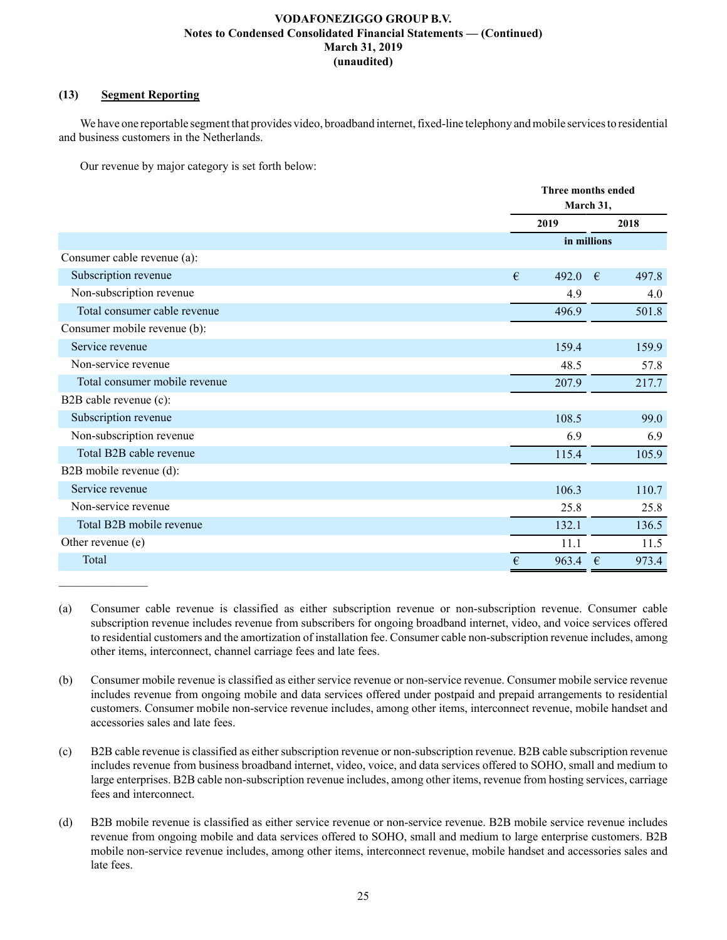# **(13) Segment Reporting**

 $\mathcal{L}_\text{max}$  , where  $\mathcal{L}_\text{max}$ 

We have one reportable segment that provides video, broadband internet, fixed-line telephony and mobile services to residential and business customers in the Netherlands.

Our revenue by major category is set forth below:

|                               | Three months ended<br>March 31, |                     |  |  |
|-------------------------------|---------------------------------|---------------------|--|--|
|                               |                                 |                     |  |  |
|                               | 2019                            | 2018                |  |  |
|                               | in millions                     |                     |  |  |
| Consumer cable revenue (a):   |                                 |                     |  |  |
| Subscription revenue          | €<br>492.0                      | 497.8<br>$\epsilon$ |  |  |
| Non-subscription revenue      | 4.9                             | 4.0                 |  |  |
| Total consumer cable revenue  | 496.9                           | 501.8               |  |  |
| Consumer mobile revenue (b):  |                                 |                     |  |  |
| Service revenue               | 159.4                           | 159.9               |  |  |
| Non-service revenue           | 48.5                            | 57.8                |  |  |
| Total consumer mobile revenue | 207.9                           | 217.7               |  |  |
| B2B cable revenue (c):        |                                 |                     |  |  |
| Subscription revenue          | 108.5                           | 99.0                |  |  |
| Non-subscription revenue      | 6.9                             | 6.9                 |  |  |
| Total B2B cable revenue       | 115.4                           | 105.9               |  |  |
| B2B mobile revenue (d):       |                                 |                     |  |  |
| Service revenue               | 106.3                           | 110.7               |  |  |
| Non-service revenue           | 25.8                            | 25.8                |  |  |
| Total B2B mobile revenue      | 132.1                           | 136.5               |  |  |
| Other revenue (e)             | 11.1                            | 11.5                |  |  |
| Total                         | $\epsilon$<br>963.4             | 973.4<br>€          |  |  |

- (a) Consumer cable revenue is classified as either subscription revenue or non-subscription revenue. Consumer cable subscription revenue includes revenue from subscribers for ongoing broadband internet, video, and voice services offered to residential customers and the amortization of installation fee. Consumer cable non-subscription revenue includes, among other items, interconnect, channel carriage fees and late fees.
- (b) Consumer mobile revenue is classified as either service revenue or non-service revenue. Consumer mobile service revenue includes revenue from ongoing mobile and data services offered under postpaid and prepaid arrangements to residential customers. Consumer mobile non-service revenue includes, among other items, interconnect revenue, mobile handset and accessories sales and late fees.
- (c) B2B cable revenue is classified as either subscription revenue or non-subscription revenue. B2B cable subscription revenue includes revenue from business broadband internet, video, voice, and data services offered to SOHO, small and medium to large enterprises. B2B cable non-subscription revenue includes, among other items, revenue from hosting services, carriage fees and interconnect.
- (d) B2B mobile revenue is classified as either service revenue or non-service revenue. B2B mobile service revenue includes revenue from ongoing mobile and data services offered to SOHO, small and medium to large enterprise customers. B2B mobile non-service revenue includes, among other items, interconnect revenue, mobile handset and accessories sales and late fees.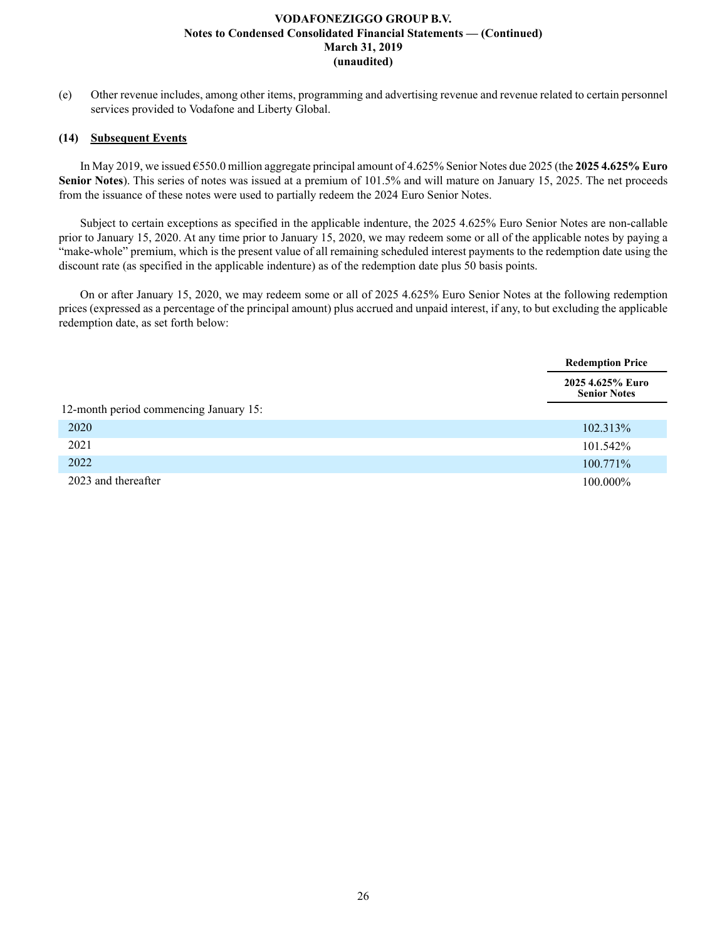(e) Other revenue includes, among other items, programming and advertising revenue and revenue related to certain personnel services provided to Vodafone and Liberty Global.

### **(14) Subsequent Events**

In May 2019, we issued €550.0 million aggregate principal amount of 4.625% Senior Notes due 2025 (the **2025 4.625% Euro Senior Notes**). This series of notes was issued at a premium of 101.5% and will mature on January 15, 2025. The net proceeds from the issuance of these notes were used to partially redeem the 2024 Euro Senior Notes.

Subject to certain exceptions as specified in the applicable indenture, the 2025 4.625% Euro Senior Notes are non-callable prior to January 15, 2020. At any time prior to January 15, 2020, we may redeem some or all of the applicable notes by paying a "make-whole" premium, which is the present value of all remaining scheduled interest payments to the redemption date using the discount rate (as specified in the applicable indenture) as of the redemption date plus 50 basis points.

On or after January 15, 2020, we may redeem some or all of 2025 4.625% Euro Senior Notes at the following redemption prices (expressed as a percentage of the principal amount) plus accrued and unpaid interest, if any, to but excluding the applicable redemption date, as set forth below:

|                                        | <b>Redemption Price</b>                 |
|----------------------------------------|-----------------------------------------|
|                                        | 2025 4.625% Euro<br><b>Senior Notes</b> |
| 12-month period commencing January 15: |                                         |
| 2020                                   | 102.313%                                |
| 2021                                   | 101.542%                                |
| 2022                                   | $100.771\%$                             |
| 2023 and thereafter                    | 100.000%                                |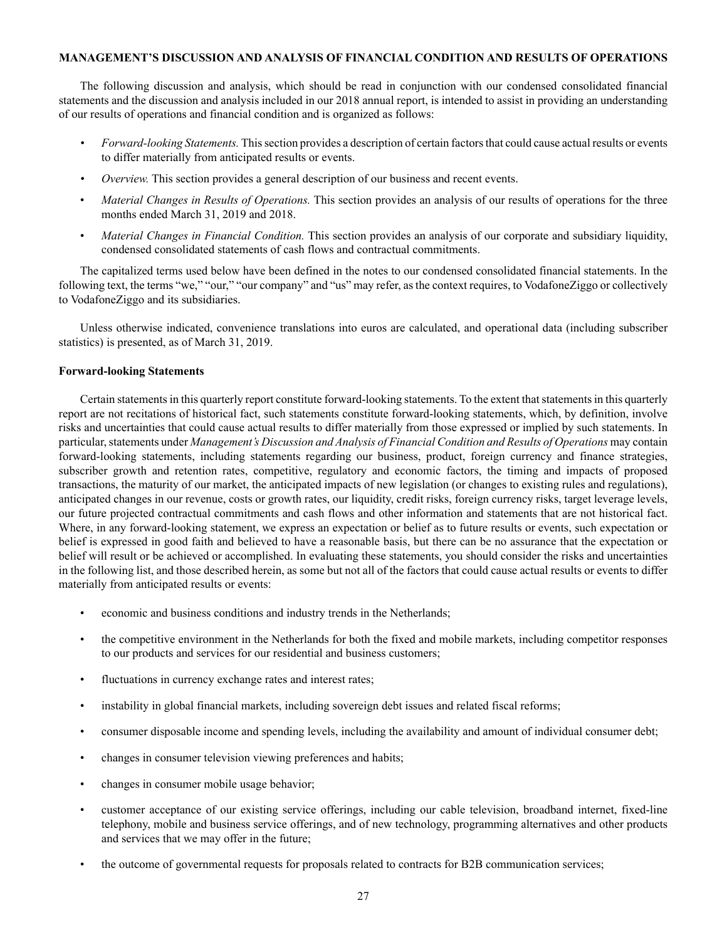### **MANAGEMENT'S DISCUSSION AND ANALYSIS OF FINANCIAL CONDITION AND RESULTS OF OPERATIONS**

The following discussion and analysis, which should be read in conjunction with our condensed consolidated financial statements and the discussion and analysis included in our 2018 annual report, is intended to assist in providing an understanding of our results of operations and financial condition and is organized as follows:

- *ï Forward-looking Statements.* This section provides a description of certain factors that could cause actual results or events to differ materially from anticipated results or events.
- *Overview.* This section provides a general description of our business and recent events.
- *Material Changes in Results of Operations.* This section provides an analysis of our results of operations for the three months ended March 31, 2019 and 2018.
- *Material Changes in Financial Condition*. This section provides an analysis of our corporate and subsidiary liquidity, condensed consolidated statements of cash flows and contractual commitments.

The capitalized terms used below have been defined in the notes to our condensed consolidated financial statements. In the following text, the terms "we," "our," "our company" and "us" may refer, as the context requires, to VodafoneZiggo or collectively to VodafoneZiggo and its subsidiaries.

Unless otherwise indicated, convenience translations into euros are calculated, and operational data (including subscriber statistics) is presented, as of March 31, 2019.

### **Forward-looking Statements**

Certain statements in this quarterly report constitute forward-looking statements. To the extent that statements in this quarterly report are not recitations of historical fact, such statements constitute forward-looking statements, which, by definition, involve risks and uncertainties that could cause actual results to differ materially from those expressed or implied by such statements. In particular, statements under *Management's Discussion and Analysis of Financial Condition and Results of Operations* may contain forward-looking statements, including statements regarding our business, product, foreign currency and finance strategies, subscriber growth and retention rates, competitive, regulatory and economic factors, the timing and impacts of proposed transactions, the maturity of our market, the anticipated impacts of new legislation (or changes to existing rules and regulations), anticipated changes in our revenue, costs or growth rates, our liquidity, credit risks, foreign currency risks, target leverage levels, our future projected contractual commitments and cash flows and other information and statements that are not historical fact. Where, in any forward-looking statement, we express an expectation or belief as to future results or events, such expectation or belief is expressed in good faith and believed to have a reasonable basis, but there can be no assurance that the expectation or belief will result or be achieved or accomplished. In evaluating these statements, you should consider the risks and uncertainties in the following list, and those described herein, as some but not all of the factors that could cause actual results or events to differ materially from anticipated results or events:

- economic and business conditions and industry trends in the Netherlands;
- the competitive environment in the Netherlands for both the fixed and mobile markets, including competitor responses to our products and services for our residential and business customers;
- fluctuations in currency exchange rates and interest rates;
- instability in global financial markets, including sovereign debt issues and related fiscal reforms;
- consumer disposable income and spending levels, including the availability and amount of individual consumer debt;
- changes in consumer television viewing preferences and habits;
- changes in consumer mobile usage behavior;
- ï customer acceptance of our existing service offerings, including our cable television, broadband internet, fixed-line telephony, mobile and business service offerings, and of new technology, programming alternatives and other products and services that we may offer in the future;
- the outcome of governmental requests for proposals related to contracts for B2B communication services;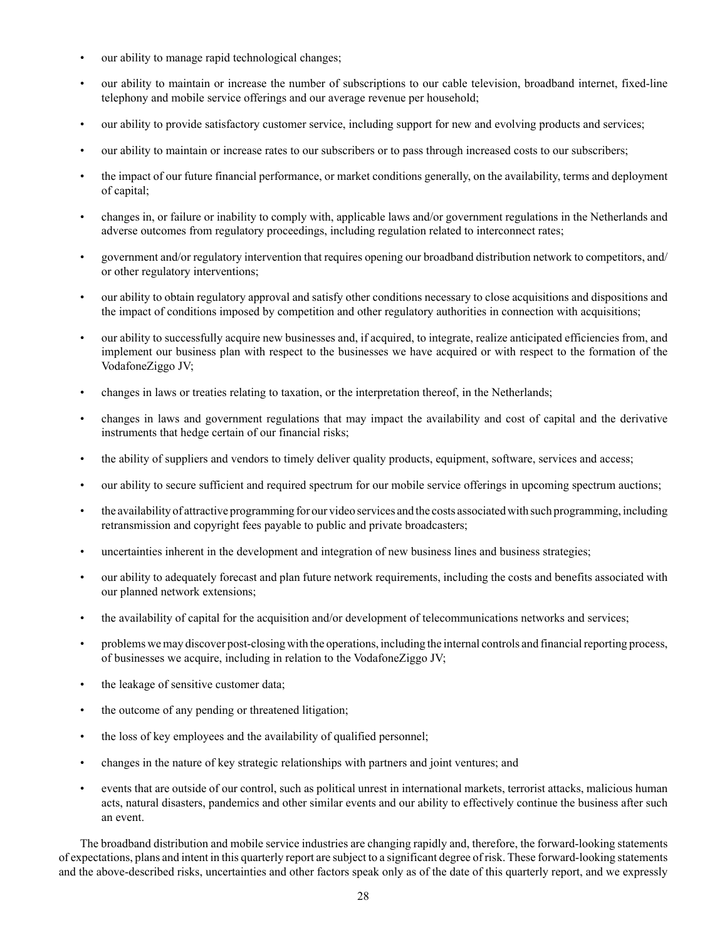- our ability to manage rapid technological changes;
- ï our ability to maintain or increase the number of subscriptions to our cable television, broadband internet, fixed-line telephony and mobile service offerings and our average revenue per household;
- our ability to provide satisfactory customer service, including support for new and evolving products and services;
- our ability to maintain or increase rates to our subscribers or to pass through increased costs to our subscribers;
- the impact of our future financial performance, or market conditions generally, on the availability, terms and deployment of capital;
- ï changes in, or failure or inability to comply with, applicable laws and/or government regulations in the Netherlands and adverse outcomes from regulatory proceedings, including regulation related to interconnect rates;
- ï government and/or regulatory intervention that requires opening our broadband distribution network to competitors, and/ or other regulatory interventions;
- ï our ability to obtain regulatory approval and satisfy other conditions necessary to close acquisitions and dispositions and the impact of conditions imposed by competition and other regulatory authorities in connection with acquisitions;
- ï our ability to successfully acquire new businesses and, if acquired, to integrate, realize anticipated efficiencies from, and implement our business plan with respect to the businesses we have acquired or with respect to the formation of the VodafoneZiggo JV;
- changes in laws or treaties relating to taxation, or the interpretation thereof, in the Netherlands;
- ï changes in laws and government regulations that may impact the availability and cost of capital and the derivative instruments that hedge certain of our financial risks;
- the ability of suppliers and vendors to timely deliver quality products, equipment, software, services and access;
- our ability to secure sufficient and required spectrum for our mobile service offerings in upcoming spectrum auctions;
- the availability of attractive programming for our video services and the costs associated with such programming, including retransmission and copyright fees payable to public and private broadcasters;
- uncertainties inherent in the development and integration of new business lines and business strategies;
- ï our ability to adequately forecast and plan future network requirements, including the costs and benefits associated with our planned network extensions;
- the availability of capital for the acquisition and/or development of telecommunications networks and services;
- problems we may discover post-closing with the operations, including the internal controls and financial reporting process, of businesses we acquire, including in relation to the VodafoneZiggo JV;
- the leakage of sensitive customer data;
- the outcome of any pending or threatened litigation;
- the loss of key employees and the availability of qualified personnel;
- changes in the nature of key strategic relationships with partners and joint ventures; and
- events that are outside of our control, such as political unrest in international markets, terrorist attacks, malicious human acts, natural disasters, pandemics and other similar events and our ability to effectively continue the business after such an event.

The broadband distribution and mobile service industries are changing rapidly and, therefore, the forward-looking statements of expectations, plans and intent in this quarterly report are subject to a significant degree of risk. These forward-looking statements and the above-described risks, uncertainties and other factors speak only as of the date of this quarterly report, and we expressly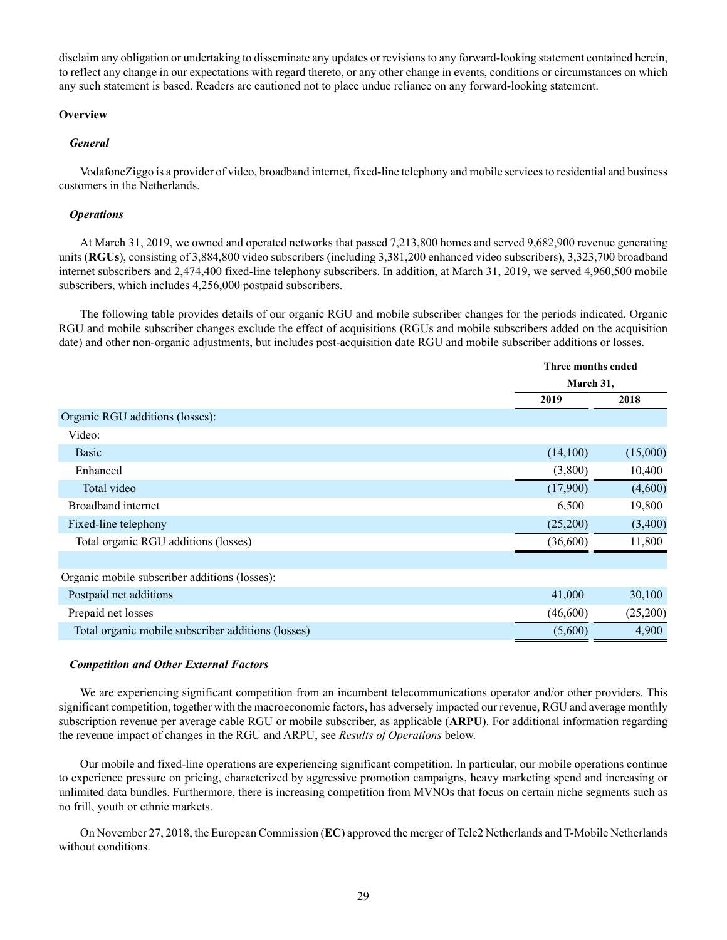disclaim any obligation or undertaking to disseminate any updates or revisions to any forward-looking statement contained herein, to reflect any change in our expectations with regard thereto, or any other change in events, conditions or circumstances on which any such statement is based. Readers are cautioned not to place undue reliance on any forward-looking statement.

### **Overview**

### *General*

VodafoneZiggo is a provider of video, broadband internet, fixed-line telephony and mobile services to residential and business customers in the Netherlands.

### *Operations*

At March 31, 2019, we owned and operated networks that passed 7,213,800 homes and served 9,682,900 revenue generating units (**RGUs**), consisting of 3,884,800 video subscribers (including 3,381,200 enhanced video subscribers), 3,323,700 broadband internet subscribers and 2,474,400 fixed-line telephony subscribers. In addition, at March 31, 2019, we served 4,960,500 mobile subscribers, which includes 4,256,000 postpaid subscribers.

The following table provides details of our organic RGU and mobile subscriber changes for the periods indicated. Organic RGU and mobile subscriber changes exclude the effect of acquisitions (RGUs and mobile subscribers added on the acquisition date) and other non-organic adjustments, but includes post-acquisition date RGU and mobile subscriber additions or losses.

|                                                    | Three months ended |          |
|----------------------------------------------------|--------------------|----------|
|                                                    | March 31,          |          |
|                                                    | 2019               | 2018     |
| Organic RGU additions (losses):                    |                    |          |
| Video:                                             |                    |          |
| <b>Basic</b>                                       | (14,100)           | (15,000) |
| Enhanced                                           | (3,800)            | 10,400   |
| Total video                                        | (17,900)           | (4,600)  |
| Broadband internet                                 | 6,500              | 19,800   |
| Fixed-line telephony                               | (25,200)           | (3,400)  |
| Total organic RGU additions (losses)               | (36,600)           | 11,800   |
|                                                    |                    |          |
| Organic mobile subscriber additions (losses):      |                    |          |
| Postpaid net additions                             | 41,000             | 30,100   |
| Prepaid net losses                                 | (46,600)           | (25,200) |
| Total organic mobile subscriber additions (losses) | (5,600)            | 4,900    |
|                                                    |                    |          |

### *Competition and Other External Factors*

We are experiencing significant competition from an incumbent telecommunications operator and/or other providers. This significant competition, together with the macroeconomic factors, has adversely impacted our revenue, RGU and average monthly subscription revenue per average cable RGU or mobile subscriber, as applicable (**ARPU**). For additional information regarding the revenue impact of changes in the RGU and ARPU, see *Results of Operations* below.

Our mobile and fixed-line operations are experiencing significant competition. In particular, our mobile operations continue to experience pressure on pricing, characterized by aggressive promotion campaigns, heavy marketing spend and increasing or unlimited data bundles. Furthermore, there is increasing competition from MVNOs that focus on certain niche segments such as no frill, youth or ethnic markets.

On November 27, 2018, the European Commission (**EC**) approved the merger of Tele2 Netherlands and T-Mobile Netherlands without conditions.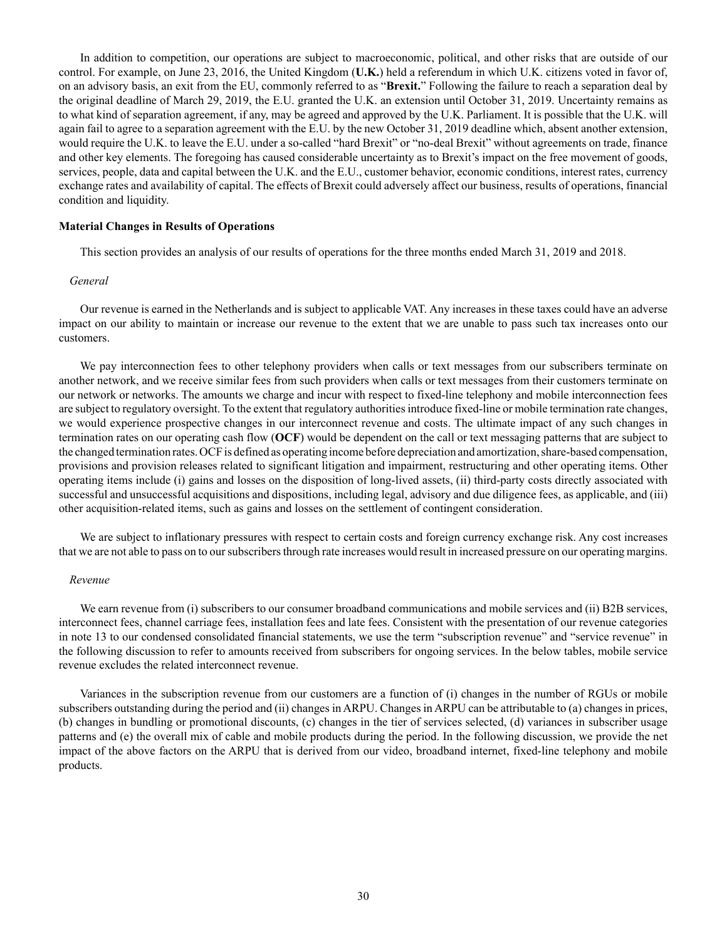In addition to competition, our operations are subject to macroeconomic, political, and other risks that are outside of our control. For example, on June 23, 2016, the United Kingdom (**U.K.**) held a referendum in which U.K. citizens voted in favor of, on an advisory basis, an exit from the EU, commonly referred to as "**Brexit.**" Following the failure to reach a separation deal by the original deadline of March 29, 2019, the E.U. granted the U.K. an extension until October 31, 2019. Uncertainty remains as to what kind of separation agreement, if any, may be agreed and approved by the U.K. Parliament. It is possible that the U.K. will again fail to agree to a separation agreement with the E.U. by the new October 31, 2019 deadline which, absent another extension, would require the U.K. to leave the E.U. under a so-called "hard Brexit" or "no-deal Brexit" without agreements on trade, finance and other key elements. The foregoing has caused considerable uncertainty as to Brexit's impact on the free movement of goods, services, people, data and capital between the U.K. and the E.U., customer behavior, economic conditions, interest rates, currency exchange rates and availability of capital. The effects of Brexit could adversely affect our business, results of operations, financial condition and liquidity.

### **Material Changes in Results of Operations**

This section provides an analysis of our results of operations for the three months ended March 31, 2019 and 2018.

### *General*

Our revenue is earned in the Netherlands and is subject to applicable VAT. Any increases in these taxes could have an adverse impact on our ability to maintain or increase our revenue to the extent that we are unable to pass such tax increases onto our customers.

We pay interconnection fees to other telephony providers when calls or text messages from our subscribers terminate on another network, and we receive similar fees from such providers when calls or text messages from their customers terminate on our network or networks. The amounts we charge and incur with respect to fixed-line telephony and mobile interconnection fees are subject to regulatory oversight. To the extent that regulatory authorities introduce fixed-line or mobile termination rate changes, we would experience prospective changes in our interconnect revenue and costs. The ultimate impact of any such changes in termination rates on our operating cash flow (**OCF**) would be dependent on the call or text messaging patterns that are subject to the changed termination rates. OCF is defined as operating income before depreciation and amortization, share-based compensation, provisions and provision releases related to significant litigation and impairment, restructuring and other operating items. Other operating items include (i) gains and losses on the disposition of long-lived assets, (ii) third-party costs directly associated with successful and unsuccessful acquisitions and dispositions, including legal, advisory and due diligence fees, as applicable, and (iii) other acquisition-related items, such as gains and losses on the settlement of contingent consideration.

We are subject to inflationary pressures with respect to certain costs and foreign currency exchange risk. Any cost increases that we are not able to pass on to our subscribers through rate increases would result in increased pressure on our operating margins.

### *Revenue*

We earn revenue from (i) subscribers to our consumer broadband communications and mobile services and (ii) B2B services, interconnect fees, channel carriage fees, installation fees and late fees. Consistent with the presentation of our revenue categories in note 13 to our condensed consolidated financial statements, we use the term "subscription revenue" and "service revenue" in the following discussion to refer to amounts received from subscribers for ongoing services. In the below tables, mobile service revenue excludes the related interconnect revenue.

Variances in the subscription revenue from our customers are a function of (i) changes in the number of RGUs or mobile subscribers outstanding during the period and (ii) changes in ARPU. Changes in ARPU can be attributable to (a) changes in prices, (b) changes in bundling or promotional discounts, (c) changes in the tier of services selected, (d) variances in subscriber usage patterns and (e) the overall mix of cable and mobile products during the period. In the following discussion, we provide the net impact of the above factors on the ARPU that is derived from our video, broadband internet, fixed-line telephony and mobile products.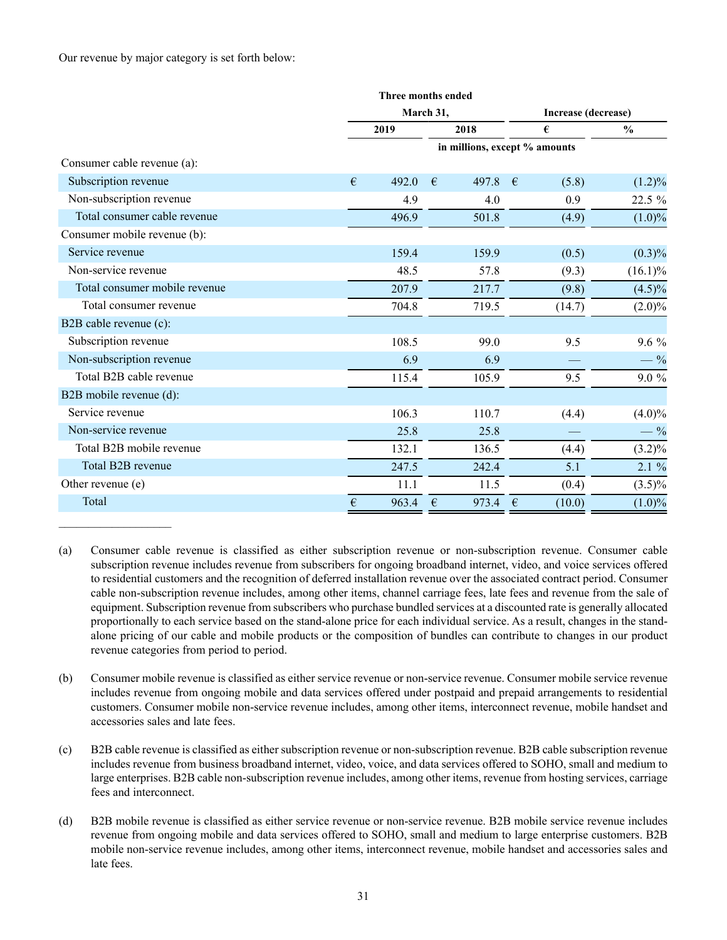Our revenue by major category is set forth below:

\_\_\_\_\_\_\_\_\_\_\_\_\_\_\_\_\_\_\_

|                               | Three months ended |                     |                               |               |  |  |  |  |
|-------------------------------|--------------------|---------------------|-------------------------------|---------------|--|--|--|--|
|                               |                    | March 31,           | Increase (decrease)           |               |  |  |  |  |
|                               | 2019               | 2018                | $\pmb{\epsilon}$              | $\frac{0}{0}$ |  |  |  |  |
|                               |                    |                     | in millions, except % amounts |               |  |  |  |  |
| Consumer cable revenue (a):   |                    |                     |                               |               |  |  |  |  |
| Subscription revenue          | €<br>492.0         | 497.8<br>€          | $\epsilon$<br>(5.8)           | $(1.2)\%$     |  |  |  |  |
| Non-subscription revenue      | 4.9                | 4.0                 | 0.9                           | 22.5 %        |  |  |  |  |
| Total consumer cable revenue  | 496.9              | 501.8               | (4.9)                         | $(1.0)\%$     |  |  |  |  |
| Consumer mobile revenue (b):  |                    |                     |                               |               |  |  |  |  |
| Service revenue               | 159.4              | 159.9               | (0.5)                         | $(0.3)\%$     |  |  |  |  |
| Non-service revenue           | 48.5               | 57.8                | (9.3)                         | $(16.1)\%$    |  |  |  |  |
| Total consumer mobile revenue | 207.9              | 217.7               | (9.8)                         | $(4.5)\%$     |  |  |  |  |
| Total consumer revenue        | 704.8              | 719.5               | (14.7)                        | $(2.0)\%$     |  |  |  |  |
| B2B cable revenue (c):        |                    |                     |                               |               |  |  |  |  |
| Subscription revenue          | 108.5              | 99.0                | 9.5                           | $9.6\%$       |  |  |  |  |
| Non-subscription revenue      | 6.9                | 6.9                 |                               | $-$ %         |  |  |  |  |
| Total B2B cable revenue       | 115.4              | 105.9               | 9.5                           | $9.0 \%$      |  |  |  |  |
| B2B mobile revenue (d):       |                    |                     |                               |               |  |  |  |  |
| Service revenue               | 106.3              | 110.7               | (4.4)                         | $(4.0)\%$     |  |  |  |  |
| Non-service revenue           | 25.8               | 25.8                |                               | $-$ %         |  |  |  |  |
| Total B2B mobile revenue      | 132.1              | 136.5               | (4.4)                         | $(3.2)\%$     |  |  |  |  |
| Total B2B revenue             | 247.5              | 242.4               | 5.1                           | 2.1%          |  |  |  |  |
| Other revenue (e)             | 11.1               | 11.5                | (0.4)                         | $(3.5)\%$     |  |  |  |  |
| Total                         | €<br>963.4         | $\epsilon$<br>973.4 | (10.0)<br>$\epsilon$          | $(1.0)\%$     |  |  |  |  |
|                               |                    |                     |                               |               |  |  |  |  |

- (a) Consumer cable revenue is classified as either subscription revenue or non-subscription revenue. Consumer cable subscription revenue includes revenue from subscribers for ongoing broadband internet, video, and voice services offered to residential customers and the recognition of deferred installation revenue over the associated contract period. Consumer cable non-subscription revenue includes, among other items, channel carriage fees, late fees and revenue from the sale of equipment. Subscription revenue from subscribers who purchase bundled services at a discounted rate is generally allocated proportionally to each service based on the stand-alone price for each individual service. As a result, changes in the standalone pricing of our cable and mobile products or the composition of bundles can contribute to changes in our product revenue categories from period to period.
- (b) Consumer mobile revenue is classified as either service revenue or non-service revenue. Consumer mobile service revenue includes revenue from ongoing mobile and data services offered under postpaid and prepaid arrangements to residential customers. Consumer mobile non-service revenue includes, among other items, interconnect revenue, mobile handset and accessories sales and late fees.
- (c) B2B cable revenue is classified as either subscription revenue or non-subscription revenue. B2B cable subscription revenue includes revenue from business broadband internet, video, voice, and data services offered to SOHO, small and medium to large enterprises. B2B cable non-subscription revenue includes, among other items, revenue from hosting services, carriage fees and interconnect.
- (d) B2B mobile revenue is classified as either service revenue or non-service revenue. B2B mobile service revenue includes revenue from ongoing mobile and data services offered to SOHO, small and medium to large enterprise customers. B2B mobile non-service revenue includes, among other items, interconnect revenue, mobile handset and accessories sales and late fees.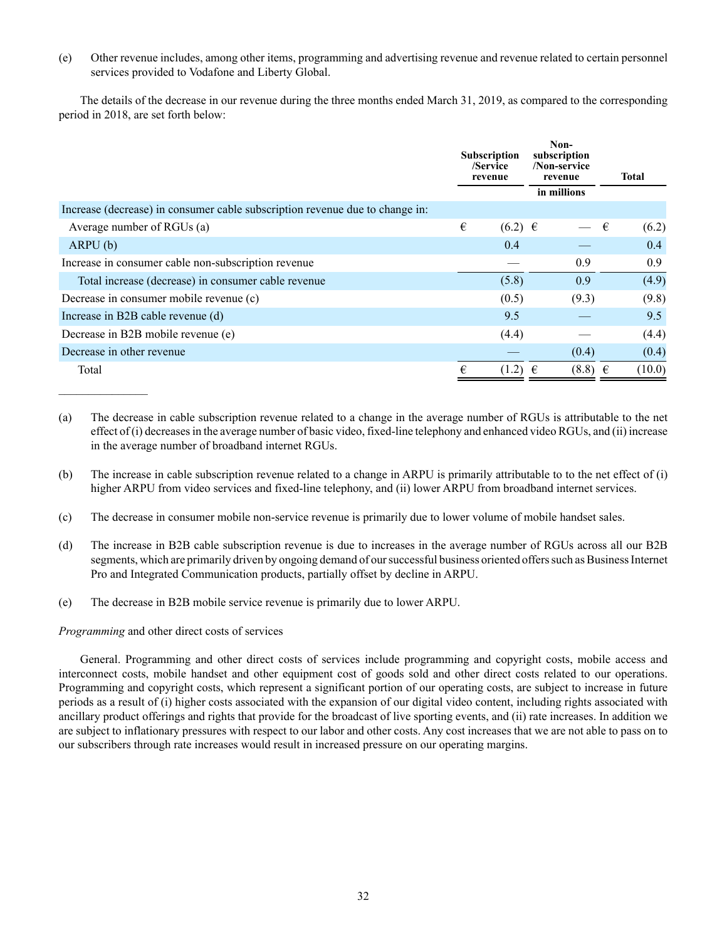(e) Other revenue includes, among other items, programming and advertising revenue and revenue related to certain personnel services provided to Vodafone and Liberty Global.

The details of the decrease in our revenue during the three months ended March 31, 2019, as compared to the corresponding period in 2018, are set forth below:

|                                                                              | <b>Subscription</b><br>/Service<br>revenue |             | Non-<br>subscription<br>/Non-service<br>revenue | Total      |
|------------------------------------------------------------------------------|--------------------------------------------|-------------|-------------------------------------------------|------------|
|                                                                              |                                            |             | in millions                                     |            |
| Increase (decrease) in consumer cable subscription revenue due to change in: |                                            |             |                                                 |            |
| Average number of RGUs (a)                                                   | €                                          | $(6.2) \in$ |                                                 | €<br>(6.2) |
| ARPU(b)                                                                      |                                            | 0.4         |                                                 | 0.4        |
| Increase in consumer cable non-subscription revenue                          |                                            |             | 0.9                                             | 0.9        |
| Total increase (decrease) in consumer cable revenue                          |                                            | (5.8)       | 0.9                                             | (4.9)      |
| Decrease in consumer mobile revenue (c)                                      |                                            | (0.5)       | (9.3)                                           | (9.8)      |
| Increase in B2B cable revenue (d)                                            |                                            | 9.5         |                                                 | 9.5        |
| Decrease in B2B mobile revenue (e)                                           |                                            | (4.4)       |                                                 | (4.4)      |
| Decrease in other revenue                                                    |                                            |             | (0.4)                                           | (0.4)      |
| Total                                                                        | €                                          | $(1.2) \t∈$ | $(8.8) \in$                                     | (10.0)     |

- (a) The decrease in cable subscription revenue related to a change in the average number of RGUs is attributable to the net effect of (i) decreases in the average number of basic video, fixed-line telephony and enhanced video RGUs, and (ii) increase in the average number of broadband internet RGUs.
- (b) The increase in cable subscription revenue related to a change in ARPU is primarily attributable to to the net effect of (i) higher ARPU from video services and fixed-line telephony, and (ii) lower ARPU from broadband internet services.
- (c) The decrease in consumer mobile non-service revenue is primarily due to lower volume of mobile handset sales.
- (d) The increase in B2B cable subscription revenue is due to increases in the average number of RGUs across all our B2B segments, which are primarily driven by ongoing demand of our successful business oriented offers such as Business Internet Pro and Integrated Communication products, partially offset by decline in ARPU.
- (e) The decrease in B2B mobile service revenue is primarily due to lower ARPU.

# *Programming* and other direct costs of services

 $\mathcal{L}$  , we have the set of  $\mathcal{L}$ 

General. Programming and other direct costs of services include programming and copyright costs, mobile access and interconnect costs, mobile handset and other equipment cost of goods sold and other direct costs related to our operations. Programming and copyright costs, which represent a significant portion of our operating costs, are subject to increase in future periods as a result of (i) higher costs associated with the expansion of our digital video content, including rights associated with ancillary product offerings and rights that provide for the broadcast of live sporting events, and (ii) rate increases. In addition we are subject to inflationary pressures with respect to our labor and other costs. Any cost increases that we are not able to pass on to our subscribers through rate increases would result in increased pressure on our operating margins.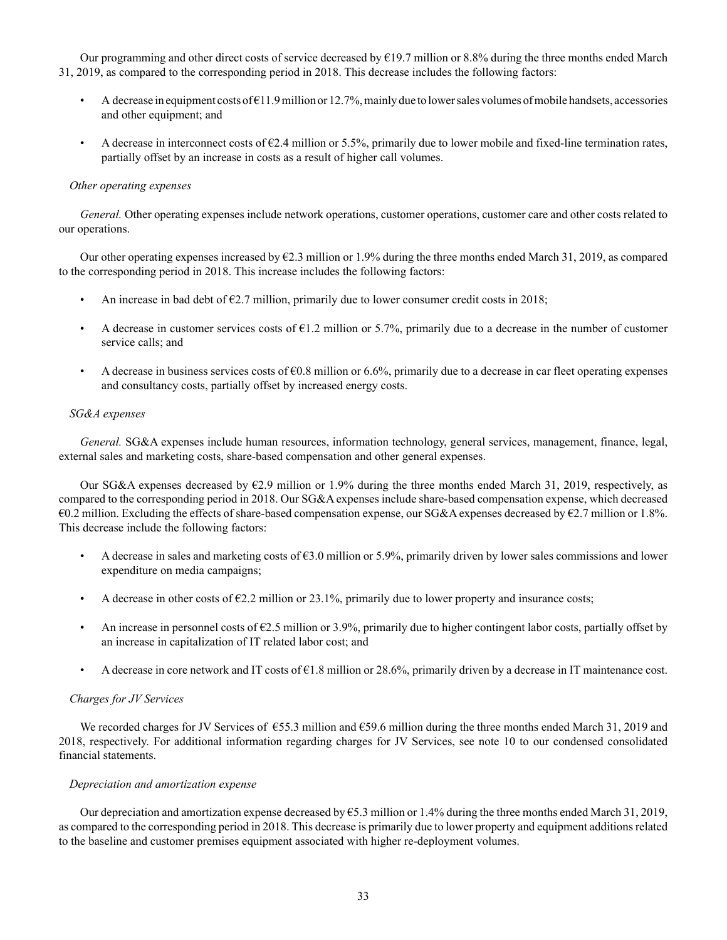Our programming and other direct costs of service decreased by €19.7 million or 8.8% during the three months ended March 31, 2019, as compared to the corresponding period in 2018. This decrease includes the following factors:

- A decrease in equipment costs of  $\epsilon$ 11.9 million or 12.7%, mainly due to lower sales volumes of mobile handsets, accessories and other equipment; and
- A decrease in interconnect costs of  $E2.4$  million or 5.5%, primarily due to lower mobile and fixed-line termination rates, partially offset by an increase in costs as a result of higher call volumes.

### *Other operating expenses*

*General.* Other operating expenses include network operations, customer operations, customer care and other costs related to our operations.

Our other operating expenses increased by  $\epsilon$ 2.3 million or 1.9% during the three months ended March 31, 2019, as compared to the corresponding period in 2018. This increase includes the following factors:

- An increase in bad debt of  $\epsilon$ 2.7 million, primarily due to lower consumer credit costs in 2018;
- A decrease in customer services costs of  $\epsilon$ 1.2 million or 5.7%, primarily due to a decrease in the number of customer service calls; and
- A decrease in business services costs of  $\epsilon$ 0.8 million or 6.6%, primarily due to a decrease in car fleet operating expenses and consultancy costs, partially offset by increased energy costs.

### *SG&A expenses*

*General.* SG&A expenses include human resources, information technology, general services, management, finance, legal, external sales and marketing costs, share-based compensation and other general expenses.

Our SG&A expenses decreased by  $\epsilon$ 2.9 million or 1.9% during the three months ended March 31, 2019, respectively, as compared to the corresponding period in 2018. Our SG&A expenses include share-based compensation expense, which decreased  $\epsilon$ 0.2 million. Excluding the effects of share-based compensation expense, our SG&A expenses decreased by  $\epsilon$ 2.7 million or 1.8%. This decrease include the following factors:

- A decrease in sales and marketing costs of  $63.0$  million or 5.9%, primarily driven by lower sales commissions and lower expenditure on media campaigns;
- A decrease in other costs of  $\epsilon$ 2.2 million or 23.1%, primarily due to lower property and insurance costs;
- An increase in personnel costs of  $\epsilon$ 2.5 million or 3.9%, primarily due to higher contingent labor costs, partially offset by an increase in capitalization of IT related labor cost; and
- A decrease in core network and IT costs of  $\epsilon$ 1.8 million or 28.6%, primarily driven by a decrease in IT maintenance cost.

### *Charges for JV Services*

We recorded charges for JV Services of €55.3 million and €59.6 million during the three months ended March 31, 2019 and 2018, respectively. For additional information regarding charges for JV Services, see note 10 to our condensed consolidated financial statements.

### *Depreciation and amortization expense*

Our depreciation and amortization expense decreased by €5.3 million or 1.4% during the three months ended March 31, 2019, as compared to the corresponding period in 2018. This decrease is primarily due to lower property and equipment additions related to the baseline and customer premises equipment associated with higher re-deployment volumes.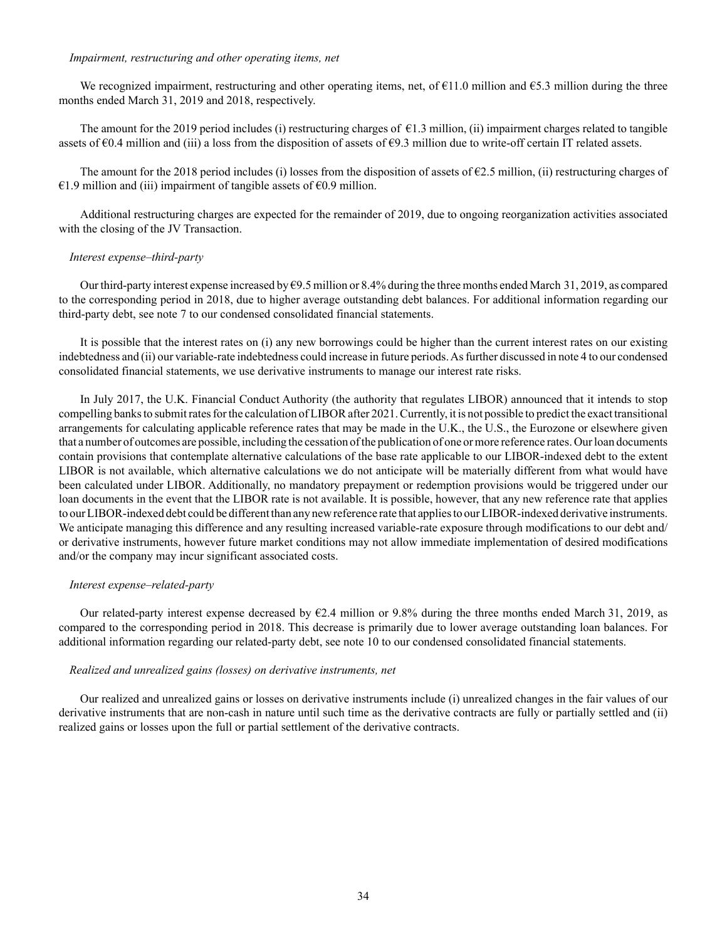### *Impairment, restructuring and other operating items, net*

We recognized impairment, restructuring and other operating items, net, of  $\epsilon$ 11.0 million and  $\epsilon$ 5.3 million during the three months ended March 31, 2019 and 2018, respectively.

The amount for the 2019 period includes (i) restructuring charges of  $\epsilon$ 1.3 million, (ii) impairment charges related to tangible assets of  $\epsilon$ 0.4 million and (iii) a loss from the disposition of assets of  $\epsilon$ 9.3 million due to write-off certain IT related assets.

The amount for the 2018 period includes (i) losses from the disposition of assets of  $\epsilon$ 2.5 million, (ii) restructuring charges of €1.9 million and (iii) impairment of tangible assets of €0.9 million.

Additional restructuring charges are expected for the remainder of 2019, due to ongoing reorganization activities associated with the closing of the JV Transaction.

### *Interest expense–third-party*

Our third-party interest expense increased by  $\epsilon$ 9.5 million or 8.4% during the three months ended March 31, 2019, as compared to the corresponding period in 2018, due to higher average outstanding debt balances. For additional information regarding our third-party debt, see note 7 to our condensed consolidated financial statements.

It is possible that the interest rates on (i) any new borrowings could be higher than the current interest rates on our existing indebtedness and (ii) our variable-rate indebtedness could increase in future periods. As further discussed in note 4 to our condensed consolidated financial statements, we use derivative instruments to manage our interest rate risks.

In July 2017, the U.K. Financial Conduct Authority (the authority that regulates LIBOR) announced that it intends to stop compelling banks to submit rates for the calculation of LIBOR after 2021. Currently, it is not possible to predict the exact transitional arrangements for calculating applicable reference rates that may be made in the U.K., the U.S., the Eurozone or elsewhere given that a number of outcomes are possible, including the cessation of the publication of one or more reference rates. Our loan documents contain provisions that contemplate alternative calculations of the base rate applicable to our LIBOR-indexed debt to the extent LIBOR is not available, which alternative calculations we do not anticipate will be materially different from what would have been calculated under LIBOR. Additionally, no mandatory prepayment or redemption provisions would be triggered under our loan documents in the event that the LIBOR rate is not available. It is possible, however, that any new reference rate that applies to our LIBOR-indexed debt could be different than any new reference rate that applies to our LIBOR-indexed derivative instruments. We anticipate managing this difference and any resulting increased variable-rate exposure through modifications to our debt and/ or derivative instruments, however future market conditions may not allow immediate implementation of desired modifications and/or the company may incur significant associated costs.

### *Interest expense–related-party*

Our related-party interest expense decreased by  $62.4$  million or 9.8% during the three months ended March 31, 2019, as compared to the corresponding period in 2018. This decrease is primarily due to lower average outstanding loan balances. For additional information regarding our related-party debt, see note 10 to our condensed consolidated financial statements.

### *Realized and unrealized gains (losses) on derivative instruments, net*

Our realized and unrealized gains or losses on derivative instruments include (i) unrealized changes in the fair values of our derivative instruments that are non-cash in nature until such time as the derivative contracts are fully or partially settled and (ii) realized gains or losses upon the full or partial settlement of the derivative contracts.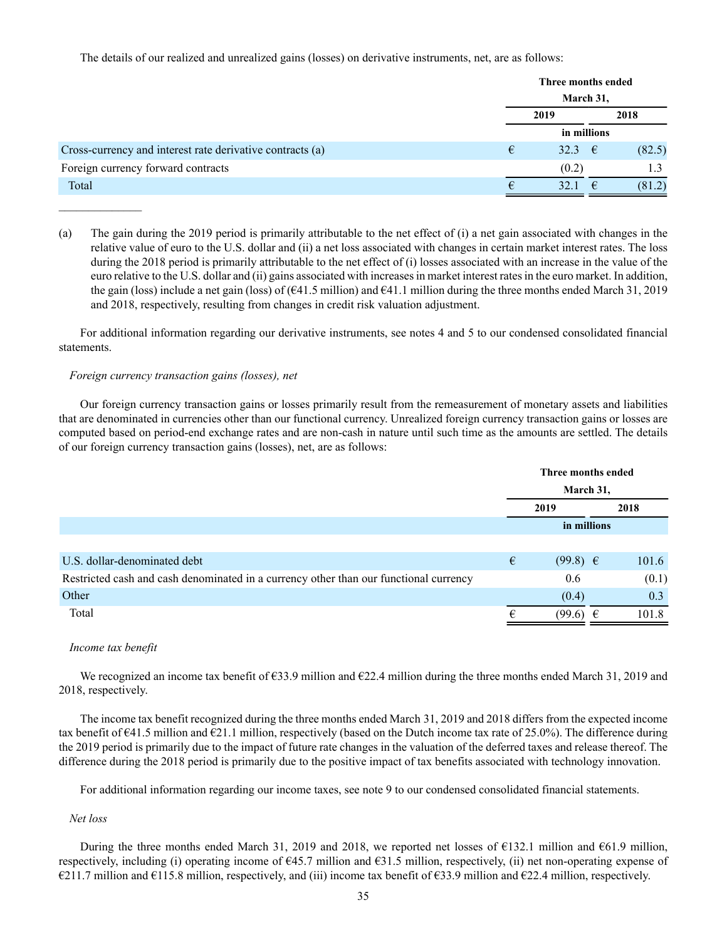The details of our realized and unrealized gains (losses) on derivative instruments, net, are as follows:

|                                                           |   | Three months ended<br>March 31, |    |        |  |
|-----------------------------------------------------------|---|---------------------------------|----|--------|--|
|                                                           |   |                                 |    |        |  |
|                                                           |   | 2019                            |    | 2018   |  |
|                                                           |   | in millions                     |    |        |  |
| Cross-currency and interest rate derivative contracts (a) | € | 32.3 $\epsilon$                 |    | (82.5) |  |
| Foreign currency forward contracts                        |   | (0.2)                           |    | 1.3    |  |
| Total                                                     | € | 32.1                            | −€ | (81.2) |  |

(a) The gain during the 2019 period is primarily attributable to the net effect of (i) a net gain associated with changes in the relative value of euro to the U.S. dollar and (ii) a net loss associated with changes in certain market interest rates. The loss during the 2018 period is primarily attributable to the net effect of (i) losses associated with an increase in the value of the euro relative to the U.S. dollar and (ii) gains associated with increases in market interest rates in the euro market. In addition, the gain (loss) include a net gain (loss) of ( $641.5$  million) and  $641.1$  million during the three months ended March 31, 2019 and 2018, respectively, resulting from changes in credit risk valuation adjustment.

For additional information regarding our derivative instruments, see notes 4 and 5 to our condensed consolidated financial statements.

### *Foreign currency transaction gains (losses), net*

Our foreign currency transaction gains or losses primarily result from the remeasurement of monetary assets and liabilities that are denominated in currencies other than our functional currency. Unrealized foreign currency transaction gains or losses are computed based on period-end exchange rates and are non-cash in nature until such time as the amounts are settled. The details of our foreign currency transaction gains (losses), net, are as follows:

| Three months ended |              |             |  |
|--------------------|--------------|-------------|--|
| March 31,          |              |             |  |
| 2019<br>2018       |              |             |  |
|                    |              |             |  |
|                    |              |             |  |
| €                  | $(99.8) \t∈$ | 101.6       |  |
|                    | 0.6          | (0.1)       |  |
|                    | (0.4)        | 0.3         |  |
| €                  | $(99.6) \in$ | 101.8       |  |
|                    |              | in millions |  |

### *Income tax benefit*

 $\mathcal{L}$  , we have the set of  $\mathcal{L}$ 

We recognized an income tax benefit of  $\epsilon$ 33.9 million and  $\epsilon$ 22.4 million during the three months ended March 31, 2019 and 2018, respectively.

The income tax benefit recognized during the three months ended March 31, 2019 and 2018 differs from the expected income tax benefit of  $\epsilon$ 41.5 million and  $\epsilon$ 21.1 million, respectively (based on the Dutch income tax rate of 25.0%). The difference during the 2019 period is primarily due to the impact of future rate changes in the valuation of the deferred taxes and release thereof. The difference during the 2018 period is primarily due to the positive impact of tax benefits associated with technology innovation.

For additional information regarding our income taxes, see note 9 to our condensed consolidated financial statements.

# *Net loss*

During the three months ended March 31, 2019 and 2018, we reported net losses of  $\epsilon$ 132.1 million and  $\epsilon$ 61.9 million, respectively, including (i) operating income of  $\epsilon$ 45.7 million and  $\epsilon$ 31.5 million, respectively, (ii) net non-operating expense of €211.7 million and €115.8 million, respectively, and (iii) income tax benefit of €33.9 million and €22.4 million, respectively.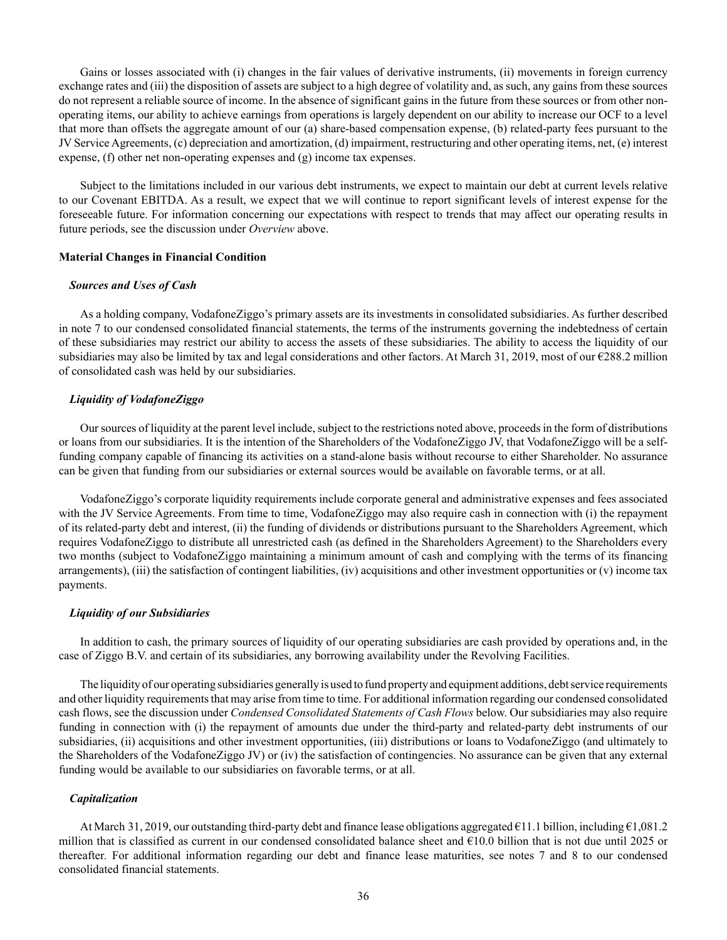Gains or losses associated with (i) changes in the fair values of derivative instruments, (ii) movements in foreign currency exchange rates and (iii) the disposition of assets are subject to a high degree of volatility and, as such, any gains from these sources do not represent a reliable source of income. In the absence of significant gains in the future from these sources or from other nonoperating items, our ability to achieve earnings from operations is largely dependent on our ability to increase our OCF to a level that more than offsets the aggregate amount of our (a) share-based compensation expense, (b) related-party fees pursuant to the JV Service Agreements, (c) depreciation and amortization, (d) impairment, restructuring and other operating items, net, (e) interest expense, (f) other net non-operating expenses and (g) income tax expenses.

Subject to the limitations included in our various debt instruments, we expect to maintain our debt at current levels relative to our Covenant EBITDA. As a result, we expect that we will continue to report significant levels of interest expense for the foreseeable future. For information concerning our expectations with respect to trends that may affect our operating results in future periods, see the discussion under *Overview* above.

### **Material Changes in Financial Condition**

### *Sources and Uses of Cash*

As a holding company, VodafoneZiggo's primary assets are its investments in consolidated subsidiaries. As further described in note 7 to our condensed consolidated financial statements, the terms of the instruments governing the indebtedness of certain of these subsidiaries may restrict our ability to access the assets of these subsidiaries. The ability to access the liquidity of our subsidiaries may also be limited by tax and legal considerations and other factors. At March 31, 2019, most of our  $\epsilon$ 288.2 million of consolidated cash was held by our subsidiaries.

### *Liquidity of VodafoneZiggo*

Our sources of liquidity at the parent level include, subject to the restrictions noted above, proceeds in the form of distributions or loans from our subsidiaries. It is the intention of the Shareholders of the VodafoneZiggo JV, that VodafoneZiggo will be a selffunding company capable of financing its activities on a stand-alone basis without recourse to either Shareholder. No assurance can be given that funding from our subsidiaries or external sources would be available on favorable terms, or at all.

VodafoneZiggo's corporate liquidity requirements include corporate general and administrative expenses and fees associated with the JV Service Agreements. From time to time, VodafoneZiggo may also require cash in connection with (i) the repayment of its related-party debt and interest, (ii) the funding of dividends or distributions pursuant to the Shareholders Agreement, which requires VodafoneZiggo to distribute all unrestricted cash (as defined in the Shareholders Agreement) to the Shareholders every two months (subject to VodafoneZiggo maintaining a minimum amount of cash and complying with the terms of its financing arrangements), (iii) the satisfaction of contingent liabilities, (iv) acquisitions and other investment opportunities or (v) income tax payments.

### *Liquidity of our Subsidiaries*

In addition to cash, the primary sources of liquidity of our operating subsidiaries are cash provided by operations and, in the case of Ziggo B.V. and certain of its subsidiaries, any borrowing availability under the Revolving Facilities.

The liquidity of our operating subsidiaries generally is used to fund property and equipment additions, debt service requirements and other liquidity requirements that may arise from time to time. For additional information regarding our condensed consolidated cash flows, see the discussion under *Condensed Consolidated Statements of Cash Flows* below. Our subsidiaries may also require funding in connection with (i) the repayment of amounts due under the third-party and related-party debt instruments of our subsidiaries, (ii) acquisitions and other investment opportunities, (iii) distributions or loans to VodafoneZiggo (and ultimately to the Shareholders of the VodafoneZiggo JV) or (iv) the satisfaction of contingencies. No assurance can be given that any external funding would be available to our subsidiaries on favorable terms, or at all.

### *Capitalization*

At March 31, 2019, our outstanding third-party debt and finance lease obligations aggregated €11.1 billion, including €1,081.2 million that is classified as current in our condensed consolidated balance sheet and  $\epsilon$ 10.0 billion that is not due until 2025 or thereafter*.* For additional information regarding our debt and finance lease maturities, see notes 7 and 8 to our condensed consolidated financial statements.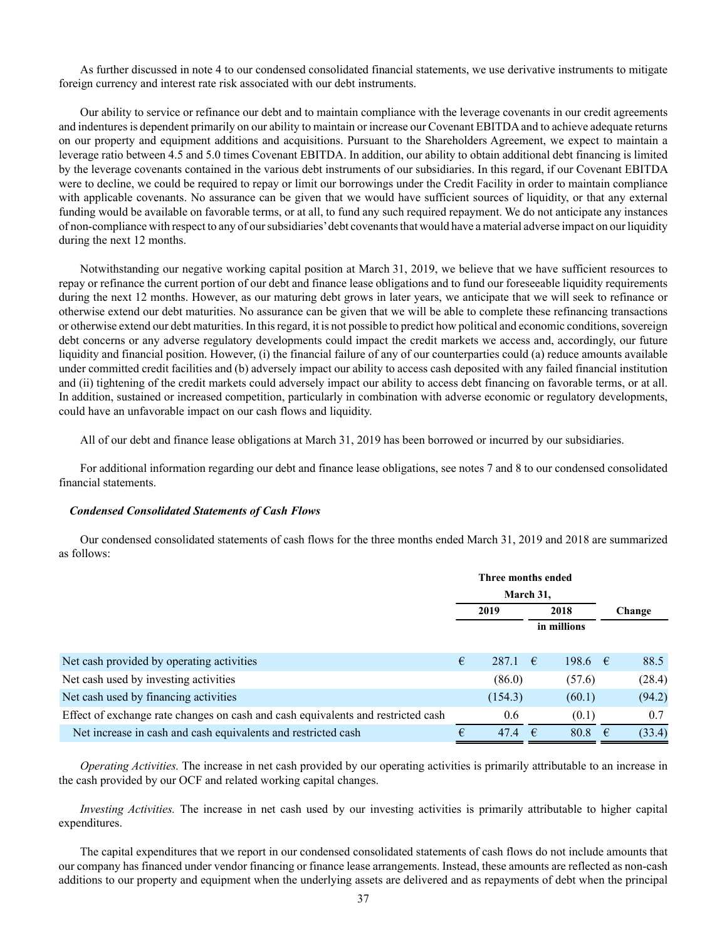As further discussed in note 4 to our condensed consolidated financial statements, we use derivative instruments to mitigate foreign currency and interest rate risk associated with our debt instruments.

Our ability to service or refinance our debt and to maintain compliance with the leverage covenants in our credit agreements and indentures is dependent primarily on our ability to maintain or increase our Covenant EBITDA and to achieve adequate returns on our property and equipment additions and acquisitions. Pursuant to the Shareholders Agreement, we expect to maintain a leverage ratio between 4.5 and 5.0 times Covenant EBITDA. In addition, our ability to obtain additional debt financing is limited by the leverage covenants contained in the various debt instruments of our subsidiaries. In this regard, if our Covenant EBITDA were to decline, we could be required to repay or limit our borrowings under the Credit Facility in order to maintain compliance with applicable covenants. No assurance can be given that we would have sufficient sources of liquidity, or that any external funding would be available on favorable terms, or at all, to fund any such required repayment. We do not anticipate any instances of non-compliance with respect to any of our subsidiaries' debt covenants that would have a material adverse impact on our liquidity during the next 12 months.

Notwithstanding our negative working capital position at March 31, 2019, we believe that we have sufficient resources to repay or refinance the current portion of our debt and finance lease obligations and to fund our foreseeable liquidity requirements during the next 12 months. However, as our maturing debt grows in later years, we anticipate that we will seek to refinance or otherwise extend our debt maturities. No assurance can be given that we will be able to complete these refinancing transactions or otherwise extend our debt maturities. In this regard, it is not possible to predict how political and economic conditions, sovereign debt concerns or any adverse regulatory developments could impact the credit markets we access and, accordingly, our future liquidity and financial position. However, (i) the financial failure of any of our counterparties could (a) reduce amounts available under committed credit facilities and (b) adversely impact our ability to access cash deposited with any failed financial institution and (ii) tightening of the credit markets could adversely impact our ability to access debt financing on favorable terms, or at all. In addition, sustained or increased competition, particularly in combination with adverse economic or regulatory developments, could have an unfavorable impact on our cash flows and liquidity.

All of our debt and finance lease obligations at March 31, 2019 has been borrowed or incurred by our subsidiaries.

For additional information regarding our debt and finance lease obligations, see notes 7 and 8 to our condensed consolidated financial statements.

### *Condensed Consolidated Statements of Cash Flows*

Our condensed consolidated statements of cash flows for the three months ended March 31, 2019 and 2018 are summarized as follows:

|                                                                                  | Three months ended |                             |             |           |        |        |
|----------------------------------------------------------------------------------|--------------------|-----------------------------|-------------|-----------|--------|--------|
|                                                                                  |                    | March 31,                   |             |           |        |        |
|                                                                                  |                    | 2018<br>2019<br>in millions |             |           | Change |        |
|                                                                                  |                    |                             |             |           |        |        |
|                                                                                  |                    |                             |             |           |        |        |
| Net cash provided by operating activities                                        | €                  | $287.1$ €                   |             | $198.6$ € |        | 88.5   |
| Net cash used by investing activities                                            |                    | (86.0)                      |             | (57.6)    |        | (28.4) |
| Net cash used by financing activities                                            |                    | (154.3)                     |             | (60.1)    |        | (94.2) |
| Effect of exchange rate changes on cash and cash equivalents and restricted cash |                    | 0.6                         |             | (0.1)     |        | 0.7    |
| Net increase in cash and cash equivalents and restricted cash                    | €                  | 47.4                        | $-\epsilon$ | 80.8      | €      | (33.4) |

*Operating Activities.* The increase in net cash provided by our operating activities is primarily attributable to an increase in the cash provided by our OCF and related working capital changes.

*Investing Activities.* The increase in net cash used by our investing activities is primarily attributable to higher capital expenditures.

The capital expenditures that we report in our condensed consolidated statements of cash flows do not include amounts that our company has financed under vendor financing or finance lease arrangements. Instead, these amounts are reflected as non-cash additions to our property and equipment when the underlying assets are delivered and as repayments of debt when the principal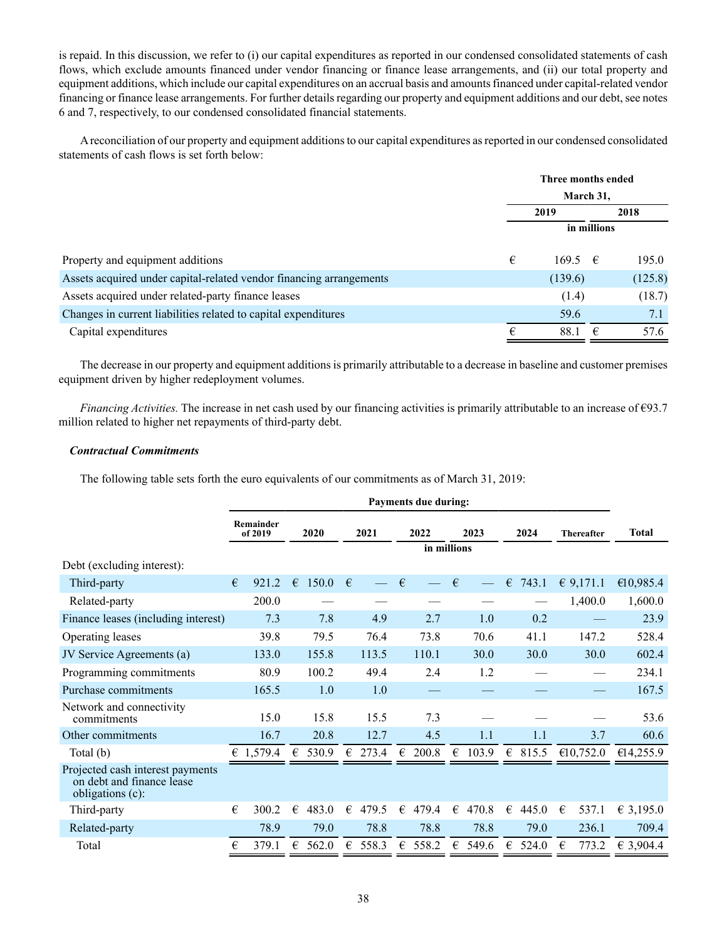is repaid. In this discussion, we refer to (i) our capital expenditures as reported in our condensed consolidated statements of cash flows, which exclude amounts financed under vendor financing or finance lease arrangements, and (ii) our total property and equipment additions, which include our capital expenditures on an accrual basis and amounts financed under capital-related vendor financing or finance lease arrangements. For further details regarding our property and equipment additions and our debt, see notes 6 and 7, respectively, to our condensed consolidated financial statements.

A reconciliation of our property and equipment additions to our capital expenditures as reported in our condensed consolidated statements of cash flows is set forth below:

|                                                                     | Three months ended |             |            |         |  |  |  |  |
|---------------------------------------------------------------------|--------------------|-------------|------------|---------|--|--|--|--|
|                                                                     |                    | March 31,   |            |         |  |  |  |  |
|                                                                     |                    | 2019        | 2018       |         |  |  |  |  |
|                                                                     |                    | in millions |            |         |  |  |  |  |
| Property and equipment additions                                    | €                  | $169.5 \t∈$ |            | 195.0   |  |  |  |  |
| Assets acquired under capital-related vendor financing arrangements |                    | (139.6)     |            | (125.8) |  |  |  |  |
| Assets acquired under related-party finance leases                  |                    | (1.4)       |            | (18.7)  |  |  |  |  |
| Changes in current liabilities related to capital expenditures      |                    | 59.6        |            | 7.1     |  |  |  |  |
| Capital expenditures                                                | €                  | 88.1        | $\epsilon$ | 57.6    |  |  |  |  |

The decrease in our property and equipment additions is primarily attributable to a decrease in baseline and customer premises equipment driven by higher redeployment volumes.

*Financing Activities.* The increase in net cash used by our financing activities is primarily attributable to an increase of  $\epsilon$ 93.7 million related to higher net repayments of third-party debt.

### *Contractual Commitments*

The following table sets forth the euro equivalents of our commitments as of March 31, 2019:

|                                                                                   | <b>Payments due during:</b> |      |              |       |      |       |             |       |   |       |   |                   |              |           |           |
|-----------------------------------------------------------------------------------|-----------------------------|------|--------------|-------|------|-------|-------------|-------|---|-------|---|-------------------|--------------|-----------|-----------|
|                                                                                   | Remainder<br>of 2019        |      | 2020<br>2021 |       | 2022 |       |             | 2023  |   | 2024  |   | <b>Thereafter</b> | <b>Total</b> |           |           |
|                                                                                   |                             |      |              |       |      |       | in millions |       |   |       |   |                   |              |           |           |
| Debt (excluding interest):                                                        |                             |      |              |       |      |       |             |       |   |       |   |                   |              |           |           |
| Third-party                                                                       | €<br>921.2                  |      | €            | 150.0 | €    |       | €           |       | € |       | € | 743.1             |              | € 9,171.1 | €10,985.4 |
| Related-party                                                                     | 200.0                       |      |              |       |      |       |             |       |   |       |   |                   |              | 1,400.0   | 1,600.0   |
| Finance leases (including interest)                                               |                             | 7.3  |              | 7.8   |      | 4.9   |             | 2.7   |   | 1.0   |   | 0.2               |              |           | 23.9      |
| Operating leases                                                                  | 39.8                        |      |              | 79.5  |      | 76.4  |             | 73.8  |   | 70.6  |   | 41.1              |              | 147.2     | 528.4     |
| JV Service Agreements (a)                                                         | 133.0                       |      |              | 155.8 |      | 113.5 |             | 110.1 |   | 30.0  |   | 30.0              |              | 30.0      | 602.4     |
| Programming commitments                                                           | 80.9                        |      |              | 100.2 |      | 49.4  |             | 2.4   |   | 1.2   |   |                   |              |           | 234.1     |
| Purchase commitments                                                              | 165.5                       |      |              | 1.0   |      | 1.0   |             |       |   |       |   |                   |              |           | 167.5     |
| Network and connectivity<br>commitments                                           |                             | 15.0 |              | 15.8  |      | 15.5  |             | 7.3   |   |       |   |                   |              |           | 53.6      |
| Other commitments                                                                 | 16.7                        |      |              | 20.8  |      | 12.7  |             | 4.5   |   | 1.1   |   | 1.1               |              | 3.7       | 60.6      |
| Total (b)                                                                         | € 1,579.4                   |      |              | 530.9 | €    | 273.4 | €           | 200.8 | € | 103.9 | € | 815.5             |              | €10,752.0 | €14,255.9 |
| Projected cash interest payments<br>on debt and finance lease<br>obligations (c): |                             |      |              |       |      |       |             |       |   |       |   |                   |              |           |           |
| Third-party                                                                       | €<br>300.2                  |      | €            | 483.0 | €    | 479.5 | €           | 479.4 | € | 470.8 | € | 445.0             | €            | 537.1     | € 3,195.0 |
| Related-party                                                                     | 78.9                        |      |              | 79.0  |      | 78.8  |             | 78.8  |   | 78.8  |   | 79.0              |              | 236.1     | 709.4     |
| Total                                                                             | €<br>379.1                  |      | €            | 562.0 | €    | 558.3 | €           | 558.2 | € | 549.6 | € | 524.0             | €            | 773.2     | € 3,904.4 |